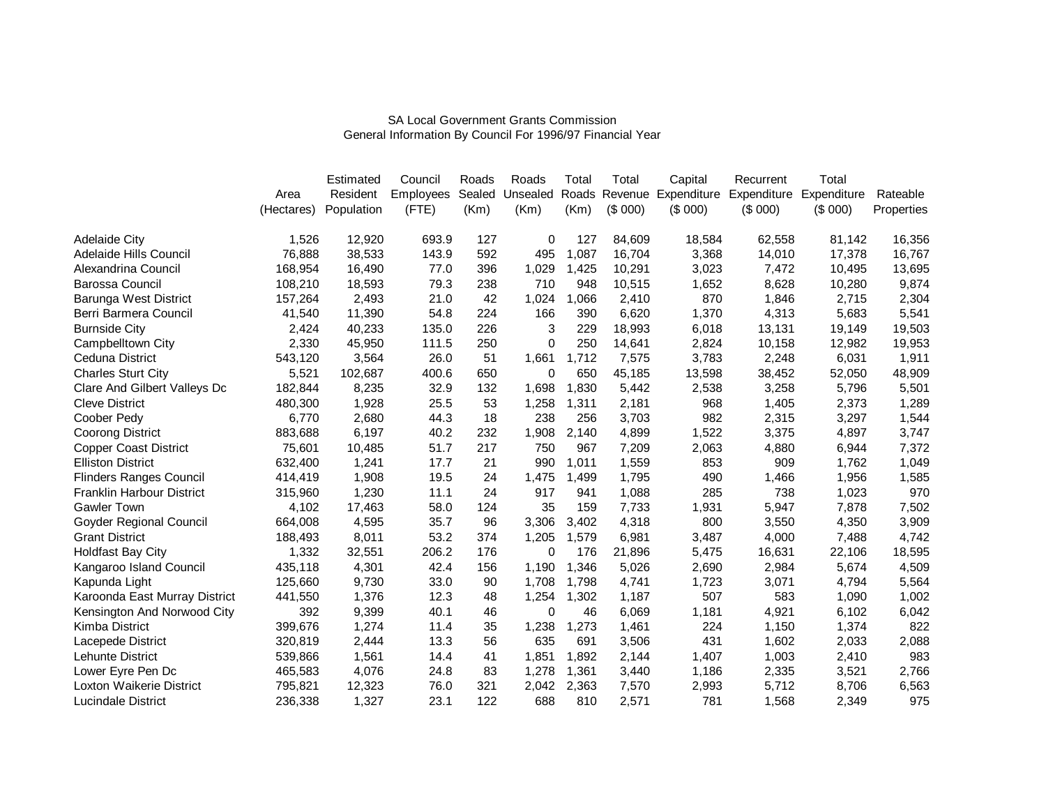# SA Local Government Grants CommissionGeneral Information By Council For 1996/97 Financial Year

|                                  |            | Estimated  | Council   | Roads  | Roads    | Total | Total         | Capital | Recurrent               | Total       |            |
|----------------------------------|------------|------------|-----------|--------|----------|-------|---------------|---------|-------------------------|-------------|------------|
|                                  | Area       | Resident   | Employees | Sealed | Unsealed |       | Roads Revenue |         | Expenditure Expenditure | Expenditure | Rateable   |
|                                  | (Hectares) | Population | (FTE)     | (Km)   | (Km)     | (Km)  | (\$000)       | (\$000) | (\$000)                 | (\$000)     | Properties |
| <b>Adelaide City</b>             | 1,526      | 12,920     | 693.9     | 127    | 0        | 127   | 84,609        | 18,584  | 62,558                  | 81,142      | 16,356     |
| Adelaide Hills Council           | 76,888     | 38,533     | 143.9     | 592    | 495      | 1,087 | 16,704        | 3,368   | 14,010                  | 17,378      | 16,767     |
| Alexandrina Council              | 168,954    | 16,490     | 77.0      | 396    | 1,029    | 1,425 | 10,291        | 3,023   | 7,472                   | 10,495      | 13,695     |
| Barossa Council                  | 108,210    | 18,593     | 79.3      | 238    | 710      | 948   | 10,515        | 1,652   | 8,628                   | 10,280      | 9,874      |
| Barunga West District            | 157,264    | 2,493      | 21.0      | 42     | 1,024    | ,066  | 2,410         | 870     | 1,846                   | 2,715       | 2,304      |
| Berri Barmera Council            | 41,540     | 11,390     | 54.8      | 224    | 166      | 390   | 6,620         | 1,370   | 4,313                   | 5,683       | 5,541      |
| <b>Burnside City</b>             | 2,424      | 40,233     | 135.0     | 226    | 3        | 229   | 18,993        | 6,018   | 13,131                  | 19,149      | 19,503     |
| Campbelltown City                | 2,330      | 45,950     | 111.5     | 250    | $\Omega$ | 250   | 14,641        | 2,824   | 10,158                  | 12,982      | 19,953     |
| Ceduna District                  | 543,120    | 3,564      | 26.0      | 51     | 1,661    | 1,712 | 7,575         | 3,783   | 2,248                   | 6,031       | 1,911      |
| <b>Charles Sturt City</b>        | 5,521      | 102,687    | 400.6     | 650    | $\Omega$ | 650   | 45,185        | 13,598  | 38,452                  | 52,050      | 48,909     |
| Clare And Gilbert Valleys Dc     | 182,844    | 8,235      | 32.9      | 132    | 1,698    | 1.830 | 5,442         | 2,538   | 3,258                   | 5,796       | 5,501      |
| <b>Cleve District</b>            | 480,300    | 1,928      | 25.5      | 53     | 1,258    | 1,311 | 2,181         | 968     | 1,405                   | 2,373       | 1,289      |
| Coober Pedy                      | 6,770      | 2,680      | 44.3      | 18     | 238      | 256   | 3,703         | 982     | 2,315                   | 3,297       | 1,544      |
| <b>Coorong District</b>          | 883,688    | 6,197      | 40.2      | 232    | 1,908    | 2,140 | 4,899         | 1,522   | 3,375                   | 4,897       | 3,747      |
| <b>Copper Coast District</b>     | 75,601     | 10,485     | 51.7      | 217    | 750      | 967   | 7,209         | 2,063   | 4,880                   | 6,944       | 7,372      |
| <b>Elliston District</b>         | 632,400    | 1,241      | 17.7      | 21     | 990      | 1,011 | 1,559         | 853     | 909                     | 1,762       | 1,049      |
| <b>Flinders Ranges Council</b>   | 414,419    | 1,908      | 19.5      | 24     | 1,475    | 1,499 | 1,795         | 490     | 1,466                   | 1,956       | 1,585      |
| <b>Franklin Harbour District</b> | 315,960    | 1,230      | 11.1      | 24     | 917      | 941   | 1,088         | 285     | 738                     | 1,023       | 970        |
| Gawler Town                      | 4,102      | 17,463     | 58.0      | 124    | 35       | 159   | 7,733         | 1,931   | 5,947                   | 7,878       | 7,502      |
| Goyder Regional Council          | 664,008    | 4,595      | 35.7      | 96     | 3,306    | 3,402 | 4,318         | 800     | 3,550                   | 4,350       | 3,909      |
| <b>Grant District</b>            | 188,493    | 8,011      | 53.2      | 374    | 1,205    | 1,579 | 6,981         | 3,487   | 4,000                   | 7,488       | 4,742      |
| <b>Holdfast Bay City</b>         | 1,332      | 32,551     | 206.2     | 176    | 0        | 176   | 21,896        | 5,475   | 16,631                  | 22,106      | 18,595     |
| Kangaroo Island Council          | 435,118    | 4,301      | 42.4      | 156    | 1,190    | 1.346 | 5,026         | 2,690   | 2,984                   | 5,674       | 4,509      |
| Kapunda Light                    | 125,660    | 9,730      | 33.0      | 90     | 1,708    | 1.798 | 4,741         | 1,723   | 3,071                   | 4,794       | 5,564      |
| Karoonda East Murray District    | 441,550    | 1,376      | 12.3      | 48     | 1,254    | 1,302 | 1,187         | 507     | 583                     | 1,090       | 1,002      |
| Kensington And Norwood City      | 392        | 9,399      | 40.1      | 46     | $\Omega$ | 46    | 6,069         | 1,181   | 4,921                   | 6,102       | 6,042      |
| Kimba District                   | 399,676    | 1,274      | 11.4      | 35     | 1,238    | 1,273 | 1,461         | 224     | 1,150                   | 1,374       | 822        |
| Lacepede District                | 320,819    | 2,444      | 13.3      | 56     | 635      | 691   | 3,506         | 431     | 1,602                   | 2,033       | 2,088      |
| Lehunte District                 | 539,866    | 1,561      | 14.4      | 41     | 1,851    | 1,892 | 2,144         | 1,407   | 1,003                   | 2,410       | 983        |
| Lower Eyre Pen Dc                | 465,583    | 4,076      | 24.8      | 83     | 1,278    | 1,361 | 3,440         | 1,186   | 2,335                   | 3,521       | 2,766      |
| <b>Loxton Waikerie District</b>  | 795,821    | 12,323     | 76.0      | 321    | 2,042    | 2,363 | 7,570         | 2,993   | 5,712                   | 8,706       | 6,563      |
| Lucindale District               | 236,338    | 1,327      | 23.1      | 122    | 688      | 810   | 2,571         | 781     | 1,568                   | 2,349       | 975        |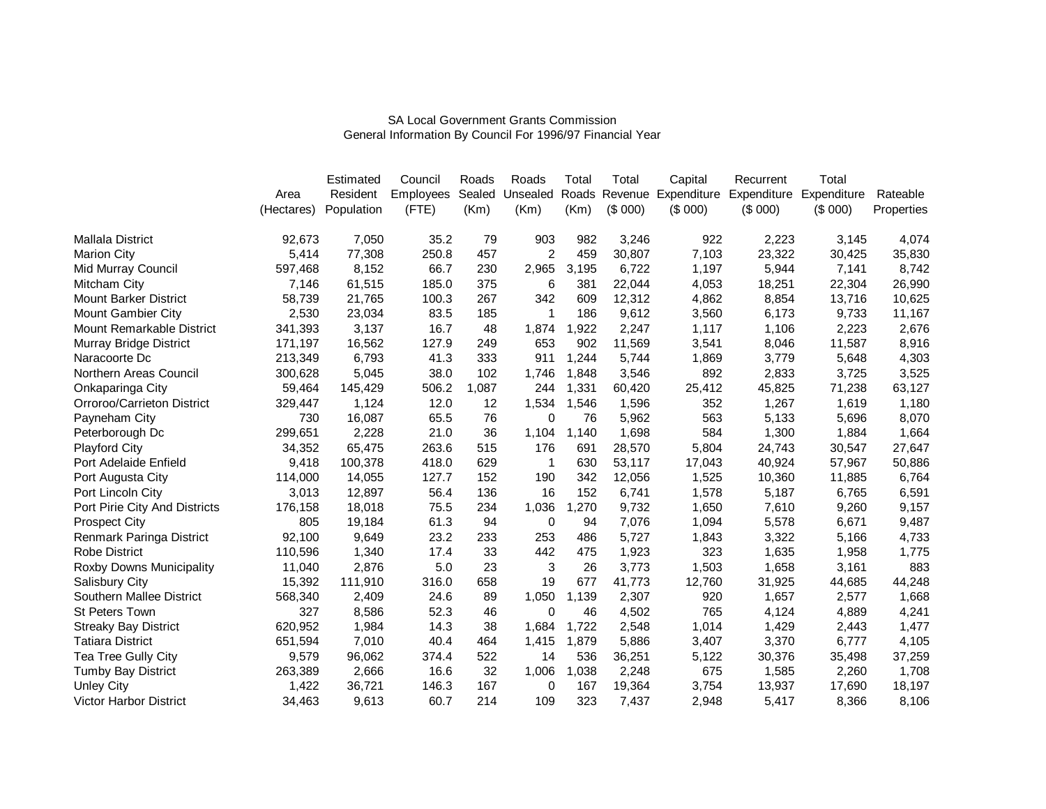# SA Local Government Grants CommissionGeneral Information By Council For 1996/97 Financial Year

|                               |            | Estimated  | Council   | Roads  | Roads          | Total | Total   | Capital | Recurrent                       | Total       |            |
|-------------------------------|------------|------------|-----------|--------|----------------|-------|---------|---------|---------------------------------|-------------|------------|
|                               | Area       | Resident   | Employees | Sealed | Unsealed       | Roads |         |         | Revenue Expenditure Expenditure | Expenditure | Rateable   |
|                               | (Hectares) | Population | (FTE)     | (Km)   | (Km)           | (Km)  | (\$000) | (\$000) | (\$000)                         | (\$000)     | Properties |
| <b>Mallala District</b>       | 92,673     | 7,050      | 35.2      | 79     | 903            | 982   | 3,246   | 922     | 2,223                           | 3,145       | 4,074      |
| <b>Marion City</b>            | 5,414      | 77,308     | 250.8     | 457    | $\overline{2}$ | 459   | 30,807  | 7,103   | 23,322                          | 30,425      | 35,830     |
| Mid Murray Council            | 597,468    | 8,152      | 66.7      | 230    | 2,965          | 3,195 | 6,722   | 1,197   | 5,944                           | 7,141       | 8,742      |
| Mitcham City                  | 7,146      | 61,515     | 185.0     | 375    | 6              | 381   | 22,044  | 4,053   | 18,251                          | 22,304      | 26,990     |
| <b>Mount Barker District</b>  | 58,739     | 21,765     | 100.3     | 267    | 342            | 609   | 12,312  | 4,862   | 8,854                           | 13,716      | 10,625     |
| Mount Gambier City            | 2,530      | 23,034     | 83.5      | 185    | 1              | 186   | 9,612   | 3,560   | 6,173                           | 9,733       | 11,167     |
| Mount Remarkable District     | 341,393    | 3,137      | 16.7      | 48     | 1,874          | ,922  | 2,247   | 1,117   | 1,106                           | 2,223       | 2,676      |
| Murray Bridge District        | 171,197    | 16,562     | 127.9     | 249    | 653            | 902   | 11,569  | 3,541   | 8,046                           | 11,587      | 8,916      |
| Naracoorte Dc                 | 213,349    | 6,793      | 41.3      | 333    | 911            | 1,244 | 5,744   | 1,869   | 3,779                           | 5,648       | 4,303      |
| Northern Areas Council        | 300,628    | 5,045      | 38.0      | 102    | 1,746          | 1,848 | 3,546   | 892     | 2,833                           | 3,725       | 3,525      |
| Onkaparinga City              | 59,464     | 145,429    | 506.2     | 1,087  | 244            | 1,331 | 60,420  | 25,412  | 45,825                          | 71,238      | 63,127     |
| Orroroo/Carrieton District    | 329,447    | 1,124      | 12.0      | 12     | 1,534          | 1,546 | 1,596   | 352     | 1,267                           | 1,619       | 1,180      |
| Payneham City                 | 730        | 16,087     | 65.5      | 76     | $\Omega$       | 76    | 5,962   | 563     | 5,133                           | 5,696       | 8,070      |
| Peterborough Dc               | 299,651    | 2,228      | 21.0      | 36     | 1,104          | 1,140 | 1,698   | 584     | 1,300                           | 1,884       | 1,664      |
| Playford City                 | 34,352     | 65,475     | 263.6     | 515    | 176            | 691   | 28,570  | 5,804   | 24,743                          | 30,547      | 27,647     |
| Port Adelaide Enfield         | 9,418      | 100,378    | 418.0     | 629    | 1              | 630   | 53,117  | 17,043  | 40,924                          | 57,967      | 50,886     |
| Port Augusta City             | 114,000    | 14,055     | 127.7     | 152    | 190            | 342   | 12,056  | 1,525   | 10,360                          | 11,885      | 6,764      |
| Port Lincoln City             | 3,013      | 12,897     | 56.4      | 136    | 16             | 152   | 6,741   | 1,578   | 5,187                           | 6,765       | 6,591      |
| Port Pirie City And Districts | 176,158    | 18,018     | 75.5      | 234    | 1,036          | ,270  | 9,732   | 1,650   | 7,610                           | 9,260       | 9,157      |
| <b>Prospect City</b>          | 805        | 19,184     | 61.3      | 94     | $\Omega$       | 94    | 7,076   | 1,094   | 5,578                           | 6,671       | 9,487      |
| Renmark Paringa District      | 92,100     | 9,649      | 23.2      | 233    | 253            | 486   | 5,727   | 1,843   | 3,322                           | 5,166       | 4,733      |
| Robe District                 | 110,596    | 1,340      | 17.4      | 33     | 442            | 475   | 1,923   | 323     | 1,635                           | 1,958       | 1,775      |
| Roxby Downs Municipality      | 11,040     | 2,876      | 5.0       | 23     | 3              | 26    | 3,773   | 1,503   | 1,658                           | 3,161       | 883        |
| Salisbury City                | 15,392     | 111,910    | 316.0     | 658    | 19             | 677   | 41,773  | 12,760  | 31,925                          | 44,685      | 44,248     |
| Southern Mallee District      | 568,340    | 2,409      | 24.6      | 89     | 1,050          | 1,139 | 2,307   | 920     | 1,657                           | 2,577       | 1,668      |
| St Peters Town                | 327        | 8,586      | 52.3      | 46     | 0              | 46    | 4,502   | 765     | 4,124                           | 4,889       | 4,241      |
| <b>Streaky Bay District</b>   | 620,952    | 1,984      | 14.3      | 38     | 1.684          | 1,722 | 2,548   | 1,014   | 1,429                           | 2,443       | 1,477      |
| <b>Tatiara District</b>       | 651,594    | 7,010      | 40.4      | 464    | 1,415          | 1,879 | 5,886   | 3,407   | 3,370                           | 6,777       | 4,105      |
| Tea Tree Gully City           | 9,579      | 96,062     | 374.4     | 522    | 14             | 536   | 36,251  | 5,122   | 30,376                          | 35,498      | 37,259     |
| <b>Tumby Bay District</b>     | 263,389    | 2,666      | 16.6      | 32     | 1,006          | ,038  | 2,248   | 675     | 1,585                           | 2,260       | 1,708      |
| <b>Unley City</b>             | 1,422      | 36,721     | 146.3     | 167    | 0              | 167   | 19,364  | 3,754   | 13,937                          | 17,690      | 18,197     |
| Victor Harbor District        | 34,463     | 9,613      | 60.7      | 214    | 109            | 323   | 7,437   | 2,948   | 5,417                           | 8,366       | 8,106      |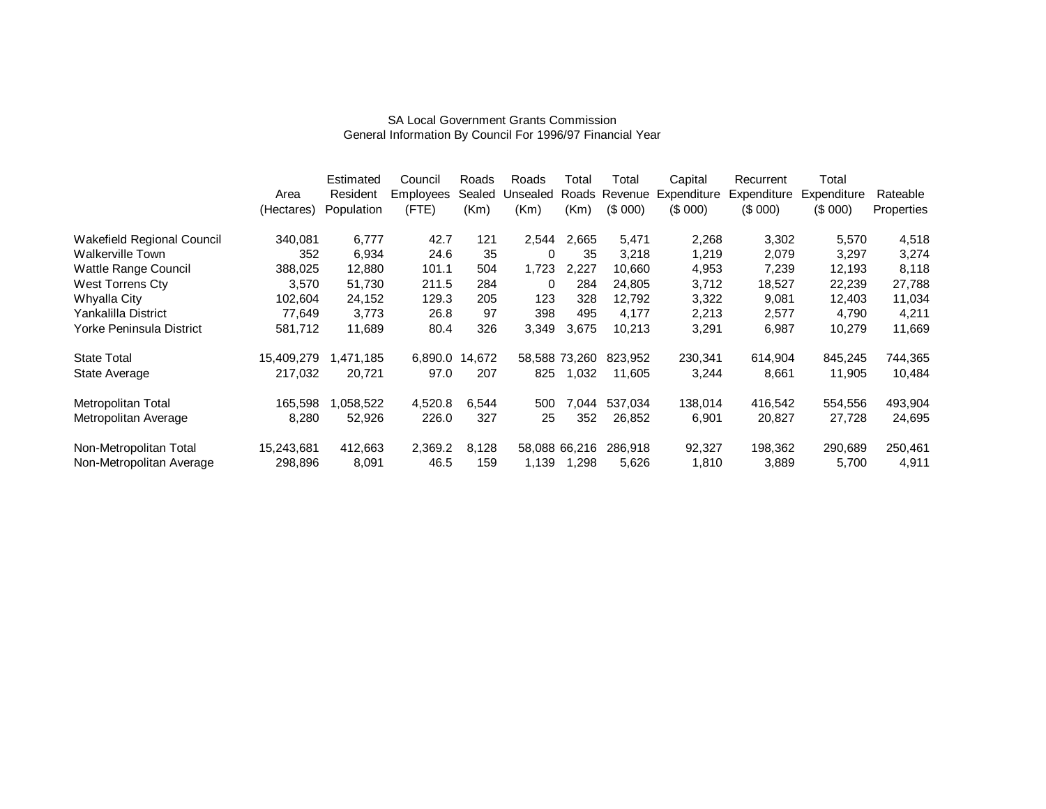# SA Local Government Grants CommissionGeneral Information By Council For 1996/97 Financial Year

|                            |            | Estimated  | Council   | <b>Roads</b> | Roads    | Total         | Total         | Capital     | Recurrent   | Total       |            |
|----------------------------|------------|------------|-----------|--------------|----------|---------------|---------------|-------------|-------------|-------------|------------|
|                            | Area       | Resident   | Employees | Sealed       | Unsealed |               | Roads Revenue | Expenditure | Expenditure | Expenditure | Rateable   |
|                            | (Hectares) | Population | (FTE)     | (Km)         | (Km)     | (Km)          | (\$000)       | (\$000)     | $(S$ 000)   | (\$000)     | Properties |
| Wakefield Regional Council | 340,081    | 6,777      | 42.7      | 121          | 2,544    | 2.665         | 5,471         | 2,268       | 3,302       | 5,570       | 4,518      |
| <b>Walkerville Town</b>    | 352        | 6,934      | 24.6      | 35           | 0        | 35            | 3,218         | 1,219       | 2,079       | 3,297       | 3,274      |
| Wattle Range Council       | 388,025    | 12,880     | 101.1     | 504          | 1,723    | 2,227         | 10,660        | 4,953       | 7,239       | 12,193      | 8,118      |
| West Torrens Cty           | 3,570      | 51,730     | 211.5     | 284          | 0        | 284           | 24,805        | 3,712       | 18,527      | 22,239      | 27,788     |
| Whyalla City               | 102,604    | 24,152     | 129.3     | 205          | 123      | 328           | 12,792        | 3,322       | 9,081       | 12,403      | 11,034     |
| Yankalilla District        | 77.649     | 3.773      | 26.8      | 97           | 398      | 495           | 4,177         | 2,213       | 2,577       | 4.790       | 4,211      |
| Yorke Peninsula District   | 581,712    | 11,689     | 80.4      | 326          | 3,349    | 3,675         | 10,213        | 3,291       | 6,987       | 10,279      | 11,669     |
| <b>State Total</b>         | 15.409.279 | .471.185   | 6,890.0   | 14,672       |          | 58.588 73.260 | 823.952       | 230,341     | 614,904     | 845.245     | 744,365    |
| State Average              | 217,032    | 20,721     | 97.0      | 207          | 825      | 1,032         | 11,605        | 3,244       | 8,661       | 11,905      | 10,484     |
| Metropolitan Total         | 165,598    | .058,522   | 4,520.8   | 6,544        | 500      | 0.044         | 537,034       | 138,014     | 416,542     | 554,556     | 493,904    |
| Metropolitan Average       | 8,280      | 52,926     | 226.0     | 327          | 25       | 352           | 26,852        | 6,901       | 20,827      | 27,728      | 24,695     |
| Non-Metropolitan Total     | 15,243,681 | 412,663    | 2,369.2   | 8,128        |          | 58,088 66,216 | 286,918       | 92,327      | 198,362     | 290,689     | 250,461    |
| Non-Metropolitan Average   | 298,896    | 8,091      | 46.5      | 159          | 1,139    | 1,298         | 5,626         | 1,810       | 3,889       | 5,700       | 4,911      |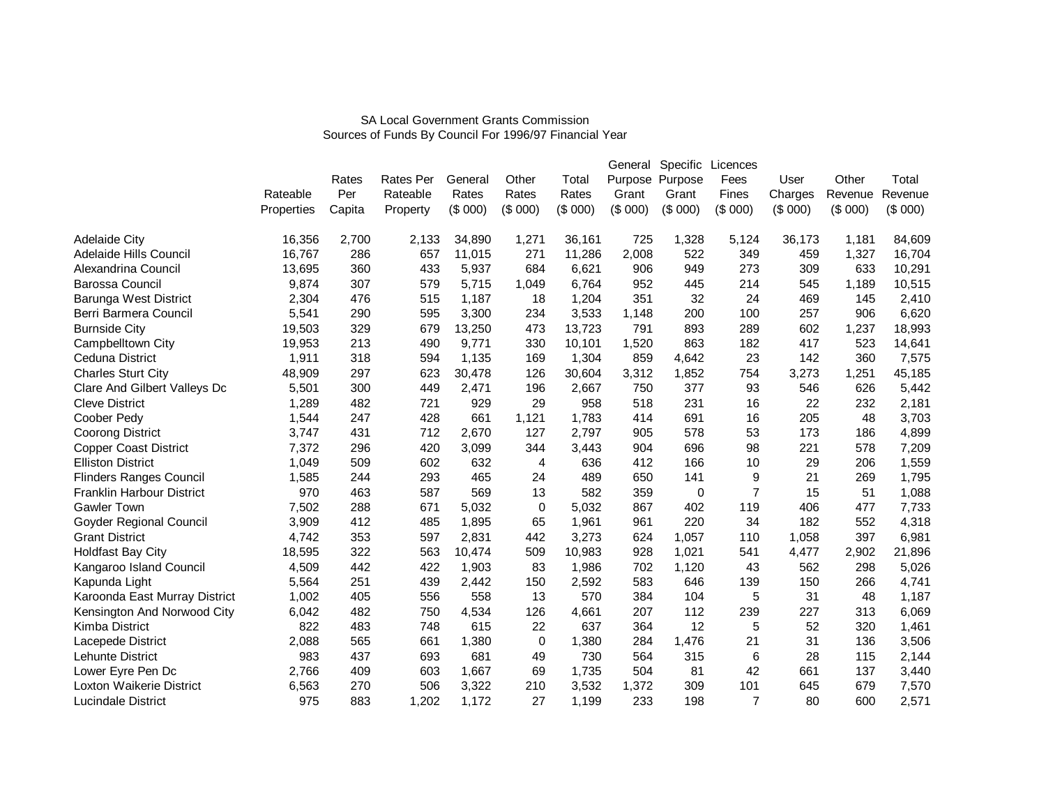# SA Local Government Grants CommissionSources of Funds By Council For 1996/97 Financial Year

|                                  |            |        |           |         |         |         | General | Specific        | Licences       |         |         |         |
|----------------------------------|------------|--------|-----------|---------|---------|---------|---------|-----------------|----------------|---------|---------|---------|
|                                  |            | Rates  | Rates Per | General | Other   | Total   |         | Purpose Purpose | Fees           | User    | Other   | Total   |
|                                  | Rateable   | Per    | Rateable  | Rates   | Rates   | Rates   | Grant   | Grant           | Fines          | Charges | Revenue | Revenue |
|                                  | Properties | Capita | Property  | (\$000) | (\$000) | (\$000) | (\$000) | (\$000)         | (\$000)        | (\$000) | (\$000) | (\$000) |
| <b>Adelaide City</b>             | 16,356     | 2,700  | 2,133     | 34,890  | 1,271   | 36,161  | 725     | 1,328           | 5,124          | 36,173  | 1,181   | 84,609  |
| Adelaide Hills Council           | 16,767     | 286    | 657       | 11,015  | 271     | 11,286  | 2,008   | 522             | 349            | 459     | 1,327   | 16,704  |
| Alexandrina Council              | 13,695     | 360    | 433       | 5,937   | 684     | 6,621   | 906     | 949             | 273            | 309     | 633     | 10,291  |
| Barossa Council                  | 9,874      | 307    | 579       | 5,715   | 1,049   | 6,764   | 952     | 445             | 214            | 545     | 1,189   | 10,515  |
| Barunga West District            | 2,304      | 476    | 515       | 1,187   | 18      | 1,204   | 351     | 32              | 24             | 469     | 145     | 2,410   |
| Berri Barmera Council            | 5,541      | 290    | 595       | 3,300   | 234     | 3,533   | 1,148   | 200             | 100            | 257     | 906     | 6,620   |
| <b>Burnside City</b>             | 19,503     | 329    | 679       | 13,250  | 473     | 13,723  | 791     | 893             | 289            | 602     | 1,237   | 18,993  |
| Campbelltown City                | 19,953     | 213    | 490       | 9,771   | 330     | 10,101  | 1,520   | 863             | 182            | 417     | 523     | 14,641  |
| Ceduna District                  | 1,911      | 318    | 594       | 1,135   | 169     | 1,304   | 859     | 4,642           | 23             | 142     | 360     | 7,575   |
| <b>Charles Sturt City</b>        | 48,909     | 297    | 623       | 30,478  | 126     | 30,604  | 3,312   | 1,852           | 754            | 3,273   | 1,251   | 45,185  |
| Clare And Gilbert Valleys Dc     | 5,501      | 300    | 449       | 2,471   | 196     | 2,667   | 750     | 377             | 93             | 546     | 626     | 5,442   |
| <b>Cleve District</b>            | 1,289      | 482    | 721       | 929     | 29      | 958     | 518     | 231             | 16             | 22      | 232     | 2,181   |
| Coober Pedy                      | 1,544      | 247    | 428       | 661     | 1,121   | 1,783   | 414     | 691             | 16             | 205     | 48      | 3,703   |
| <b>Coorong District</b>          | 3,747      | 431    | 712       | 2,670   | 127     | 2,797   | 905     | 578             | 53             | 173     | 186     | 4,899   |
| <b>Copper Coast District</b>     | 7,372      | 296    | 420       | 3,099   | 344     | 3,443   | 904     | 696             | 98             | 221     | 578     | 7,209   |
| <b>Elliston District</b>         | 1,049      | 509    | 602       | 632     | 4       | 636     | 412     | 166             | 10             | 29      | 206     | 1,559   |
| <b>Flinders Ranges Council</b>   | 1,585      | 244    | 293       | 465     | 24      | 489     | 650     | 141             | 9              | 21      | 269     | 1,795   |
| <b>Franklin Harbour District</b> | 970        | 463    | 587       | 569     | 13      | 582     | 359     | $\mathbf 0$     | $\overline{7}$ | 15      | 51      | 1,088   |
| <b>Gawler Town</b>               | 7,502      | 288    | 671       | 5,032   | 0       | 5,032   | 867     | 402             | 119            | 406     | 477     | 7,733   |
| Goyder Regional Council          | 3,909      | 412    | 485       | 1,895   | 65      | 1,961   | 961     | 220             | 34             | 182     | 552     | 4,318   |
| <b>Grant District</b>            | 4,742      | 353    | 597       | 2,831   | 442     | 3,273   | 624     | 1,057           | 110            | 1,058   | 397     | 6,981   |
| <b>Holdfast Bay City</b>         | 18,595     | 322    | 563       | 10,474  | 509     | 10,983  | 928     | 1,021           | 541            | 4,477   | 2,902   | 21,896  |
| Kangaroo Island Council          | 4,509      | 442    | 422       | 1,903   | 83      | 1,986   | 702     | 1,120           | 43             | 562     | 298     | 5,026   |
| Kapunda Light                    | 5,564      | 251    | 439       | 2,442   | 150     | 2,592   | 583     | 646             | 139            | 150     | 266     | 4,741   |
| Karoonda East Murray District    | 1,002      | 405    | 556       | 558     | 13      | 570     | 384     | 104             | 5              | 31      | 48      | 1,187   |
| Kensington And Norwood City      | 6,042      | 482    | 750       | 4,534   | 126     | 4,661   | 207     | 112             | 239            | 227     | 313     | 6,069   |
| Kimba District                   | 822        | 483    | 748       | 615     | 22      | 637     | 364     | 12              | 5              | 52      | 320     | 1,461   |
| Lacepede District                | 2,088      | 565    | 661       | 1,380   | 0       | 1,380   | 284     | 1,476           | 21             | 31      | 136     | 3,506   |
| <b>Lehunte District</b>          | 983        | 437    | 693       | 681     | 49      | 730     | 564     | 315             | 6              | 28      | 115     | 2,144   |
| Lower Eyre Pen Dc                | 2,766      | 409    | 603       | 1,667   | 69      | 1,735   | 504     | 81              | 42             | 661     | 137     | 3,440   |
| Loxton Waikerie District         | 6,563      | 270    | 506       | 3,322   | 210     | 3,532   | 1,372   | 309             | 101            | 645     | 679     | 7,570   |
| Lucindale District               | 975        | 883    | 1,202     | 1,172   | 27      | 1,199   | 233     | 198             | $\overline{7}$ | 80      | 600     | 2,571   |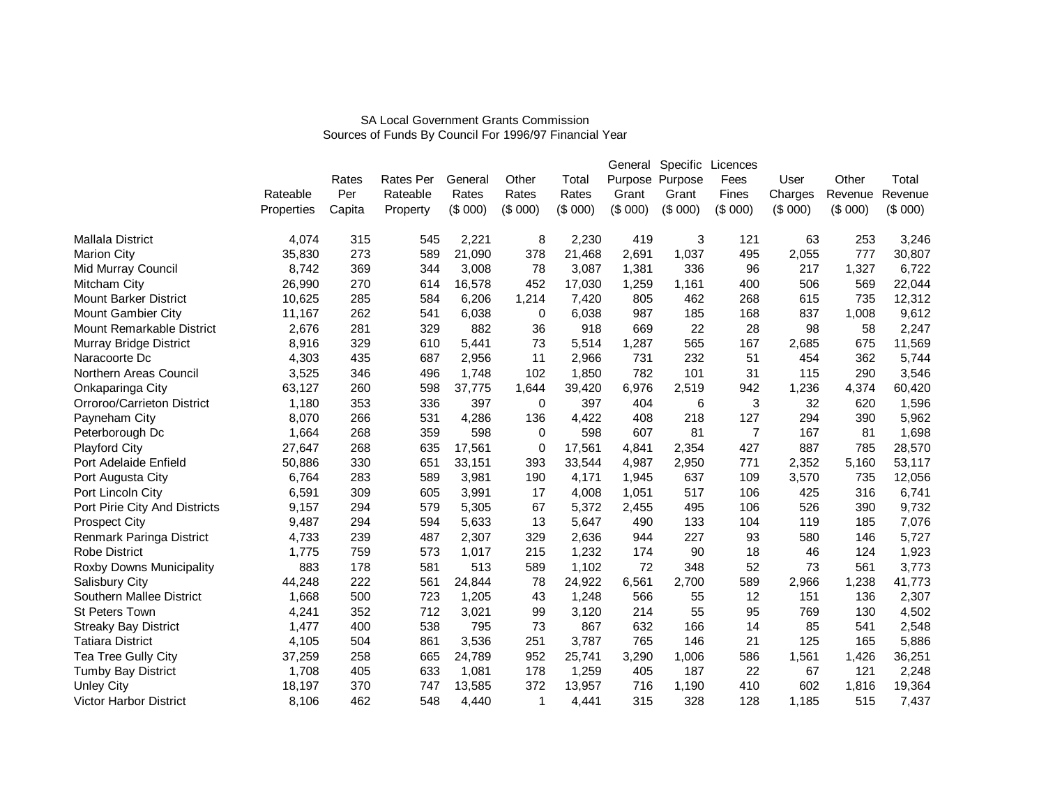# SA Local Government Grants CommissionSources of Funds By Council For 1996/97 Financial Year

|                               |            |        |                  |         |                |         | General | Specific        | Licences |         |         |         |
|-------------------------------|------------|--------|------------------|---------|----------------|---------|---------|-----------------|----------|---------|---------|---------|
|                               |            | Rates  | <b>Rates Per</b> | General | Other          | Total   |         | Purpose Purpose | Fees     | User    | Other   | Total   |
|                               | Rateable   | Per    | Rateable         | Rates   | Rates          | Rates   | Grant   | Grant           | Fines    | Charges | Revenue | Revenue |
|                               | Properties | Capita | Property         | (\$000) | (\$000)        | (\$000) | (\$000) | (\$000)         | (\$000)  | (\$000) | (\$000) | (\$000) |
| <b>Mallala District</b>       | 4,074      | 315    | 545              | 2,221   | 8              | 2,230   | 419     | 3               | 121      | 63      | 253     | 3,246   |
| <b>Marion City</b>            | 35,830     | 273    | 589              | 21,090  | 378            | 21,468  | 2,691   | 1,037           | 495      | 2,055   | 777     | 30,807  |
| Mid Murray Council            | 8,742      | 369    | 344              | 3,008   | 78             | 3,087   | 1,381   | 336             | 96       | 217     | 1,327   | 6,722   |
| Mitcham City                  | 26,990     | 270    | 614              | 16,578  | 452            | 17,030  | 1,259   | 1,161           | 400      | 506     | 569     | 22,044  |
| <b>Mount Barker District</b>  | 10,625     | 285    | 584              | 6,206   | 1,214          | 7,420   | 805     | 462             | 268      | 615     | 735     | 12,312  |
| Mount Gambier City            | 11,167     | 262    | 541              | 6,038   | 0              | 6,038   | 987     | 185             | 168      | 837     | 1,008   | 9,612   |
| Mount Remarkable District     | 2,676      | 281    | 329              | 882     | 36             | 918     | 669     | 22              | 28       | 98      | 58      | 2,247   |
| Murray Bridge District        | 8,916      | 329    | 610              | 5,441   | 73             | 5,514   | 1,287   | 565             | 167      | 2,685   | 675     | 11,569  |
| Naracoorte Dc                 | 4,303      | 435    | 687              | 2,956   | 11             | 2,966   | 731     | 232             | 51       | 454     | 362     | 5,744   |
| Northern Areas Council        | 3,525      | 346    | 496              | 1,748   | 102            | 1,850   | 782     | 101             | 31       | 115     | 290     | 3,546   |
| Onkaparinga City              | 63,127     | 260    | 598              | 37,775  | 1,644          | 39,420  | 6,976   | 2,519           | 942      | 1,236   | 4,374   | 60,420  |
| Orroroo/Carrieton District    | 1,180      | 353    | 336              | 397     | 0              | 397     | 404     | 6               | 3        | 32      | 620     | 1,596   |
| Payneham City                 | 8,070      | 266    | 531              | 4,286   | 136            | 4,422   | 408     | 218             | 127      | 294     | 390     | 5,962   |
| Peterborough Dc               | 1,664      | 268    | 359              | 598     | $\mathbf 0$    | 598     | 607     | 81              | 7        | 167     | 81      | 1,698   |
| <b>Playford City</b>          | 27,647     | 268    | 635              | 17,561  | 0              | 17,561  | 4,841   | 2,354           | 427      | 887     | 785     | 28,570  |
| Port Adelaide Enfield         | 50,886     | 330    | 651              | 33,151  | 393            | 33,544  | 4,987   | 2,950           | 771      | 2,352   | 5,160   | 53,117  |
| Port Augusta City             | 6.764      | 283    | 589              | 3,981   | 190            | 4,171   | 1,945   | 637             | 109      | 3,570   | 735     | 12,056  |
| Port Lincoln City             | 6,591      | 309    | 605              | 3,991   | 17             | 4,008   | 1,051   | 517             | 106      | 425     | 316     | 6,741   |
| Port Pirie City And Districts | 9,157      | 294    | 579              | 5,305   | 67             | 5,372   | 2,455   | 495             | 106      | 526     | 390     | 9,732   |
| <b>Prospect City</b>          | 9,487      | 294    | 594              | 5,633   | 13             | 5,647   | 490     | 133             | 104      | 119     | 185     | 7,076   |
| Renmark Paringa District      | 4,733      | 239    | 487              | 2,307   | 329            | 2,636   | 944     | 227             | 93       | 580     | 146     | 5,727   |
| <b>Robe District</b>          | 1,775      | 759    | 573              | 1,017   | 215            | 1,232   | 174     | 90              | 18       | 46      | 124     | 1,923   |
| Roxby Downs Municipality      | 883        | 178    | 581              | 513     | 589            | 1,102   | 72      | 348             | 52       | 73      | 561     | 3,773   |
| <b>Salisbury City</b>         | 44,248     | 222    | 561              | 24,844  | 78             | 24,922  | 6,561   | 2,700           | 589      | 2,966   | 1,238   | 41,773  |
| Southern Mallee District      | 1,668      | 500    | 723              | 1,205   | 43             | 1,248   | 566     | 55              | 12       | 151     | 136     | 2,307   |
| <b>St Peters Town</b>         | 4,241      | 352    | 712              | 3,021   | 99             | 3,120   | 214     | 55              | 95       | 769     | 130     | 4,502   |
| <b>Streaky Bay District</b>   | 1,477      | 400    | 538              | 795     | 73             | 867     | 632     | 166             | 14       | 85      | 541     | 2,548   |
| <b>Tatiara District</b>       | 4,105      | 504    | 861              | 3,536   | 251            | 3,787   | 765     | 146             | 21       | 125     | 165     | 5,886   |
| Tea Tree Gully City           | 37,259     | 258    | 665              | 24,789  | 952            | 25,741  | 3,290   | 1,006           | 586      | 1,561   | 1,426   | 36,251  |
| Tumby Bay District            | 1,708      | 405    | 633              | 1,081   | 178            | 1,259   | 405     | 187             | 22       | 67      | 121     | 2,248   |
| <b>Unley City</b>             | 18,197     | 370    | 747              | 13,585  | 372            | 13,957  | 716     | 1,190           | 410      | 602     | 1,816   | 19,364  |
| <b>Victor Harbor District</b> | 8,106      | 462    | 548              | 4,440   | $\overline{1}$ | 4.441   | 315     | 328             | 128      | 1,185   | 515     | 7,437   |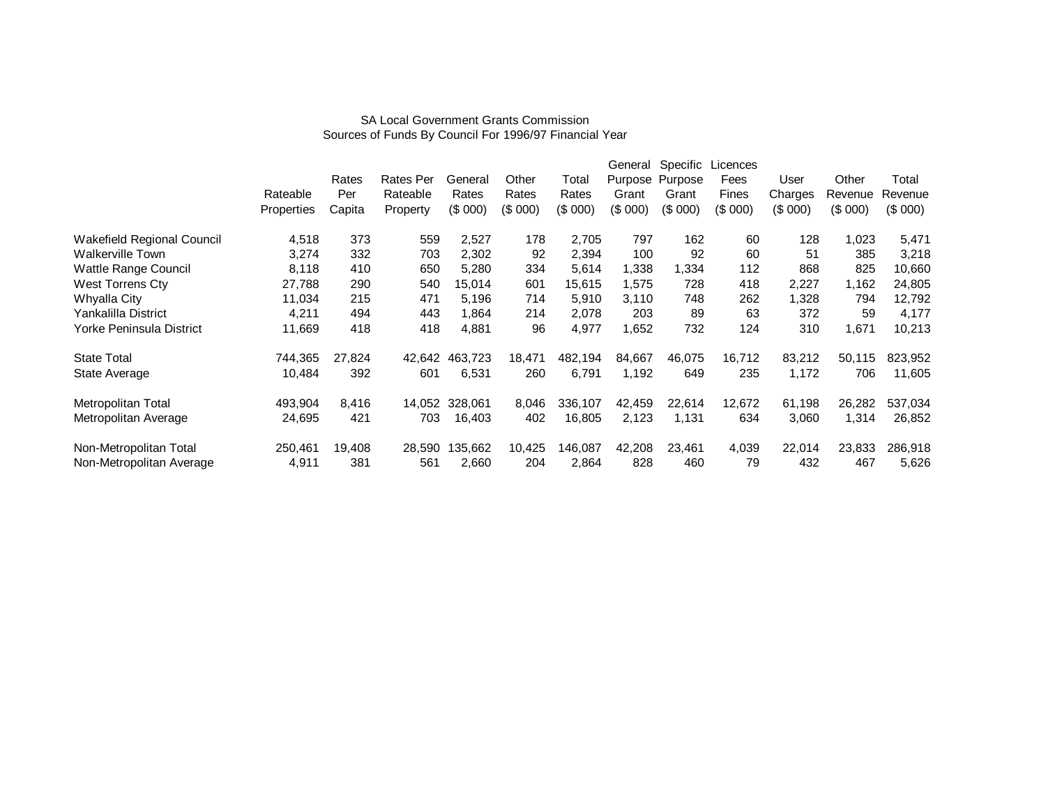# SA Local Government Grants CommissionSources of Funds By Council For 1996/97 Financial Year

|                            |                   |        |                  |           |         |         | General | Specific        | Licences |           |         |         |
|----------------------------|-------------------|--------|------------------|-----------|---------|---------|---------|-----------------|----------|-----------|---------|---------|
|                            |                   | Rates  | <b>Rates Per</b> | General   | Other   | Total   |         | Purpose Purpose | Fees     | User      | Other   | Total   |
|                            | Rateable          | Per    | Rateable         | Rates     | Rates   | Rates   | Grant   | Grant           | Fines    | Charges   | Revenue | Revenue |
|                            | <b>Properties</b> | Capita | Property         | $(S$ 000) | (\$000) | (\$000) | (\$000) | (\$000)         | (\$000)  | $(S$ 000) | (\$000) | (\$000) |
| Wakefield Regional Council | 4,518             | 373    | 559              | 2,527     | 178     | 2,705   | 797     | 162             | 60       | 128       | 1,023   | 5,471   |
| <b>Walkerville Town</b>    | 3,274             | 332    | 703              | 2,302     | 92      | 2,394   | 100     | 92              | 60       | 51        | 385     | 3,218   |
| Wattle Range Council       | 8,118             | 410    | 650              | 5,280     | 334     | 5,614   | 1,338   | 1,334           | 112      | 868       | 825     | 10,660  |
| West Torrens Cty           | 27,788            | 290    | 540              | 15,014    | 601     | 15,615  | 1,575   | 728             | 418      | 2,227     | 1,162   | 24,805  |
| Whyalla City               | 11,034            | 215    | 471              | 5,196     | 714     | 5,910   | 3,110   | 748             | 262      | 1,328     | 794     | 12,792  |
| Yankalilla District        | 4,211             | 494    | 443              | 1,864     | 214     | 2,078   | 203     | 89              | 63       | 372       | 59      | 4,177   |
| Yorke Peninsula District   | 11,669            | 418    | 418              | 4,881     | 96      | 4,977   | 1,652   | 732             | 124      | 310       | 1,671   | 10,213  |
| <b>State Total</b>         | 744,365           | 27,824 | 42,642           | 463,723   | 18,471  | 482,194 | 84,667  | 46,075          | 16,712   | 83,212    | 50,115  | 823,952 |
| State Average              | 10,484            | 392    | 601              | 6,531     | 260     | 6,791   | 1,192   | 649             | 235      | 1,172     | 706     | 11,605  |
| Metropolitan Total         | 493,904           | 8,416  | 14,052           | 328,061   | 8,046   | 336,107 | 42,459  | 22,614          | 12,672   | 61,198    | 26,282  | 537,034 |
| Metropolitan Average       | 24,695            | 421    | 703              | 16,403    | 402     | 16,805  | 2,123   | 1,131           | 634      | 3,060     | 1,314   | 26,852  |
| Non-Metropolitan Total     | 250,461           | 19,408 | 28,590           | 135,662   | 10,425  | 146,087 | 42,208  | 23,461          | 4,039    | 22,014    | 23,833  | 286,918 |
| Non-Metropolitan Average   | 4,911             | 381    | 561              | 2,660     | 204     | 2,864   | 828     | 460             | 79       | 432       | 467     | 5,626   |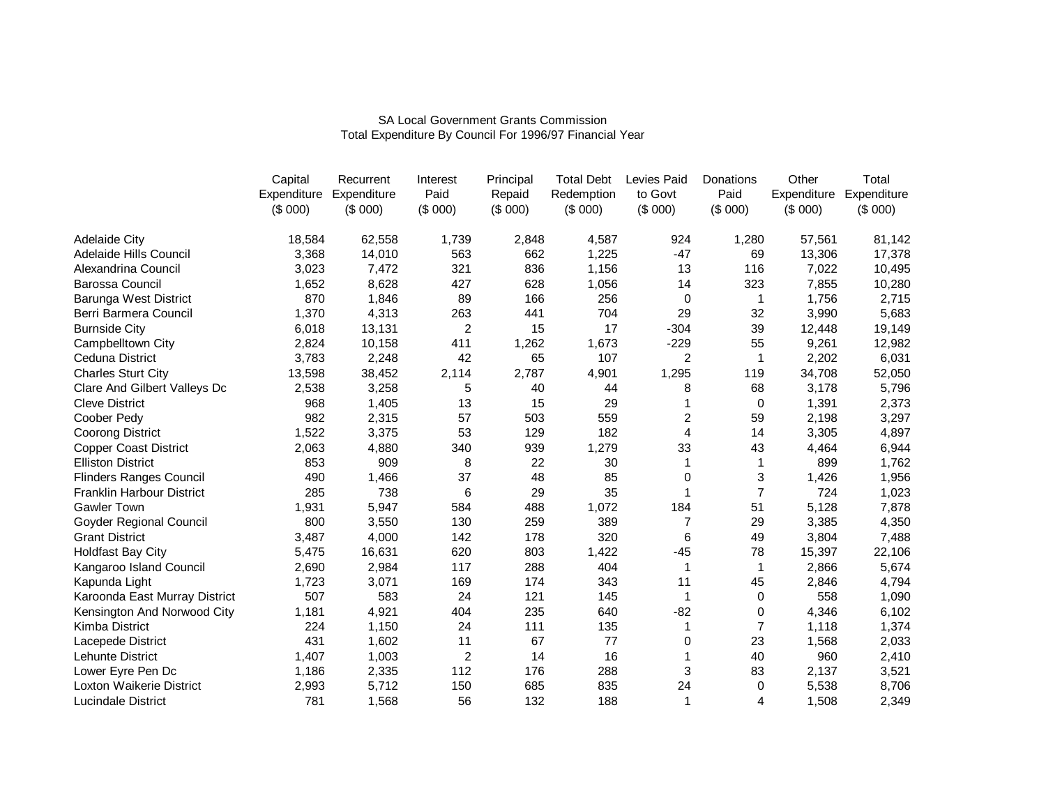# SA Local Government Grants CommissionTotal Expenditure By Council For 1996/97 Financial Year

|                                | Capital | Recurrent               | Interest | Principal | <b>Total Debt</b> | Levies Paid    | Donations    | Other       | Total       |
|--------------------------------|---------|-------------------------|----------|-----------|-------------------|----------------|--------------|-------------|-------------|
|                                |         | Expenditure Expenditure | Paid     | Repaid    | Redemption        | to Govt        | Paid         | Expenditure | Expenditure |
|                                | (\$000) | (\$000)                 | (\$000)  | (\$000)   | (\$000)           | (\$000)        | (\$000)      | (\$000)     | (\$000)     |
| <b>Adelaide City</b>           | 18,584  | 62,558                  | 1,739    | 2,848     | 4,587             | 924            | 1,280        | 57,561      | 81,142      |
| Adelaide Hills Council         | 3,368   | 14,010                  | 563      | 662       | 1,225             | $-47$          | 69           | 13,306      | 17,378      |
| Alexandrina Council            | 3,023   | 7,472                   | 321      | 836       | 1,156             | 13             | 116          | 7,022       | 10,495      |
| <b>Barossa Council</b>         | 1,652   | 8,628                   | 427      | 628       | 1,056             | 14             | 323          | 7,855       | 10,280      |
| Barunga West District          | 870     | 1,846                   | 89       | 166       | 256               | 0              | $\mathbf{1}$ | 1,756       | 2,715       |
| Berri Barmera Council          | 1,370   | 4,313                   | 263      | 441       | 704               | 29             | 32           | 3,990       | 5,683       |
| <b>Burnside City</b>           | 6,018   | 13,131                  | 2        | 15        | 17                | $-304$         | 39           | 12,448      | 19,149      |
| Campbelltown City              | 2,824   | 10,158                  | 411      | 1,262     | 1,673             | $-229$         | 55           | 9,261       | 12,982      |
| Ceduna District                | 3,783   | 2,248                   | 42       | 65        | 107               | $\overline{c}$ | 1            | 2,202       | 6,031       |
| <b>Charles Sturt City</b>      | 13,598  | 38,452                  | 2,114    | 2,787     | 4,901             | 1,295          | 119          | 34,708      | 52,050      |
| Clare And Gilbert Valleys Dc   | 2,538   | 3,258                   | 5        | 40        | 44                | 8              | 68           | 3,178       | 5,796       |
| <b>Cleve District</b>          | 968     | 1,405                   | 13       | 15        | 29                | 1              | 0            | 1,391       | 2,373       |
| Coober Pedy                    | 982     | 2,315                   | 57       | 503       | 559               | 2              | 59           | 2,198       | 3,297       |
| <b>Coorong District</b>        | 1,522   | 3,375                   | 53       | 129       | 182               | 4              | 14           | 3,305       | 4,897       |
| <b>Copper Coast District</b>   | 2,063   | 4,880                   | 340      | 939       | 1,279             | 33             | 43           | 4,464       | 6,944       |
| <b>Elliston District</b>       | 853     | 909                     | 8        | 22        | 30                | 1              | 1            | 899         | 1,762       |
| <b>Flinders Ranges Council</b> | 490     | 1,466                   | 37       | 48        | 85                | 0              | 3            | 1,426       | 1,956       |
| Franklin Harbour District      | 285     | 738                     | 6        | 29        | 35                | 1              | 7            | 724         | 1,023       |
| <b>Gawler Town</b>             | 1,931   | 5,947                   | 584      | 488       | 1,072             | 184            | 51           | 5,128       | 7,878       |
| Goyder Regional Council        | 800     | 3,550                   | 130      | 259       | 389               | $\overline{7}$ | 29           | 3,385       | 4,350       |
| <b>Grant District</b>          | 3,487   | 4,000                   | 142      | 178       | 320               | 6              | 49           | 3,804       | 7,488       |
| <b>Holdfast Bay City</b>       | 5,475   | 16,631                  | 620      | 803       | 1,422             | $-45$          | 78           | 15,397      | 22,106      |
| Kangaroo Island Council        | 2,690   | 2,984                   | 117      | 288       | 404               | $\mathbf{1}$   | 1            | 2,866       | 5,674       |
| Kapunda Light                  | 1,723   | 3,071                   | 169      | 174       | 343               | 11             | 45           | 2,846       | 4,794       |
| Karoonda East Murray District  | 507     | 583                     | 24       | 121       | 145               | 1              | 0            | 558         | 1,090       |
| Kensington And Norwood City    | 1,181   | 4,921                   | 404      | 235       | 640               | $-82$          | 0            | 4,346       | 6,102       |
| <b>Kimba District</b>          | 224     | 1,150                   | 24       | 111       | 135               | 1              | 7            | 1,118       | 1,374       |
| Lacepede District              | 431     | 1,602                   | 11       | 67        | 77                | 0              | 23           | 1,568       | 2,033       |
| Lehunte District               | 1,407   | 1,003                   | 2        | 14        | 16                | 1              | 40           | 960         | 2,410       |
| Lower Eyre Pen Dc              | 1,186   | 2,335                   | 112      | 176       | 288               | 3              | 83           | 2,137       | 3,521       |
| Loxton Waikerie District       | 2,993   | 5,712                   | 150      | 685       | 835               | 24             | 0            | 5,538       | 8,706       |
| <b>Lucindale District</b>      | 781     | 1,568                   | 56       | 132       | 188               | 1              | 4            | 1,508       | 2,349       |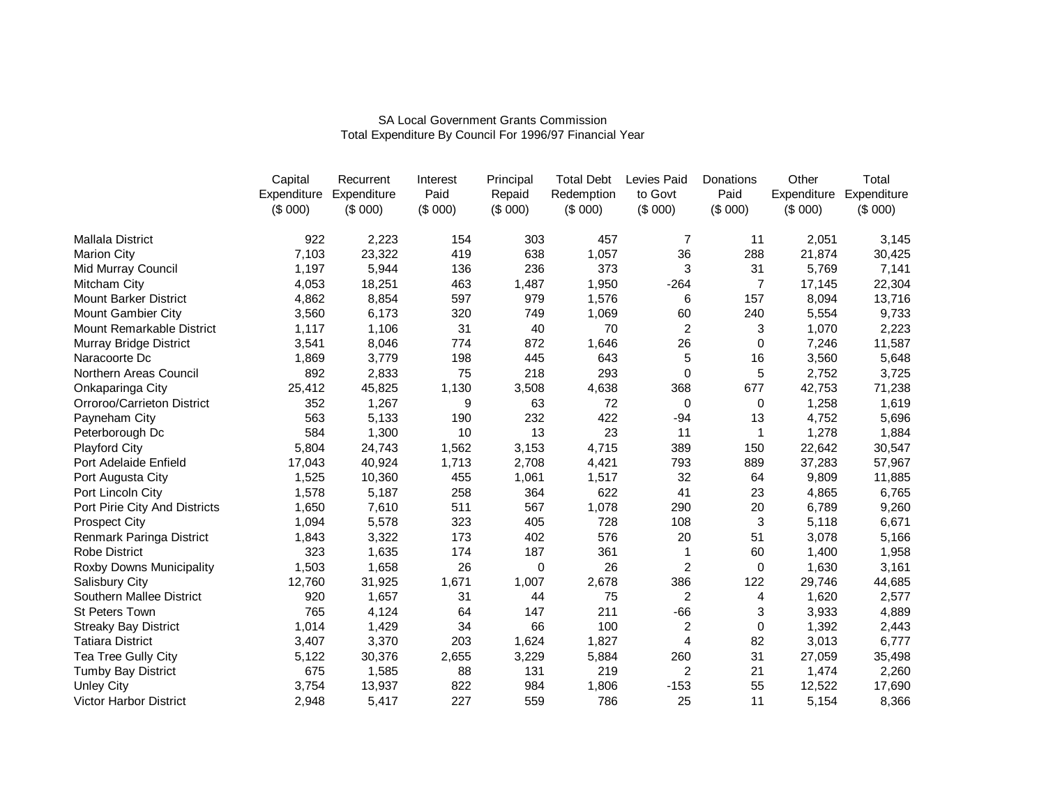# SA Local Government Grants CommissionTotal Expenditure By Council For 1996/97 Financial Year

|                               | Capital | Recurrent               | Interest | Principal   | <b>Total Debt</b> | Levies Paid    | Donations      | Other       | Total       |
|-------------------------------|---------|-------------------------|----------|-------------|-------------------|----------------|----------------|-------------|-------------|
|                               |         | Expenditure Expenditure | Paid     | Repaid      | Redemption        | to Govt        | Paid           | Expenditure | Expenditure |
|                               | (\$000) | (\$000)                 | (\$000)  | (\$000)     | (\$000)           | (\$000)        | (\$000)        | (\$000)     | (\$000)     |
| <b>Mallala District</b>       | 922     | 2,223                   | 154      | 303         | 457               | 7              | 11             | 2,051       | 3,145       |
| <b>Marion City</b>            | 7,103   | 23,322                  | 419      | 638         | 1,057             | 36             | 288            | 21,874      | 30,425      |
| Mid Murray Council            | 1,197   | 5,944                   | 136      | 236         | 373               | 3              | 31             | 5,769       | 7,141       |
| Mitcham City                  | 4,053   | 18,251                  | 463      | 1,487       | 1,950             | $-264$         | $\overline{7}$ | 17,145      | 22,304      |
| <b>Mount Barker District</b>  | 4,862   | 8,854                   | 597      | 979         | 1,576             | 6              | 157            | 8,094       | 13,716      |
| Mount Gambier City            | 3,560   | 6,173                   | 320      | 749         | 1,069             | 60             | 240            | 5,554       | 9,733       |
| Mount Remarkable District     | 1,117   | 1,106                   | 31       | 40          | 70                | 2              | 3              | 1,070       | 2,223       |
| Murray Bridge District        | 3,541   | 8,046                   | 774      | 872         | 1,646             | 26             | 0              | 7,246       | 11,587      |
| Naracoorte Dc                 | 1,869   | 3,779                   | 198      | 445         | 643               | 5              | 16             | 3,560       | 5,648       |
| Northern Areas Council        | 892     | 2,833                   | 75       | 218         | 293               | $\mathbf 0$    | 5              | 2,752       | 3,725       |
| Onkaparinga City              | 25,412  | 45,825                  | 1,130    | 3,508       | 4,638             | 368            | 677            | 42,753      | 71,238      |
| Orroroo/Carrieton District    | 352     | 1,267                   | 9        | 63          | 72                | 0              | 0              | 1,258       | 1,619       |
| Payneham City                 | 563     | 5,133                   | 190      | 232         | 422               | $-94$          | 13             | 4,752       | 5,696       |
| Peterborough Dc               | 584     | 1,300                   | 10       | 13          | 23                | 11             | 1              | 1,278       | 1,884       |
| <b>Playford City</b>          | 5,804   | 24,743                  | 1,562    | 3,153       | 4,715             | 389            | 150            | 22,642      | 30,547      |
| Port Adelaide Enfield         | 17,043  | 40,924                  | 1,713    | 2,708       | 4,421             | 793            | 889            | 37,283      | 57,967      |
| Port Augusta City             | 1,525   | 10,360                  | 455      | 1,061       | 1,517             | 32             | 64             | 9,809       | 11,885      |
| Port Lincoln City             | 1,578   | 5,187                   | 258      | 364         | 622               | 41             | 23             | 4,865       | 6,765       |
| Port Pirie City And Districts | 1,650   | 7,610                   | 511      | 567         | 1,078             | 290            | 20             | 6,789       | 9,260       |
| <b>Prospect City</b>          | 1,094   | 5,578                   | 323      | 405         | 728               | 108            | 3              | 5,118       | 6,671       |
| Renmark Paringa District      | 1,843   | 3,322                   | 173      | 402         | 576               | 20             | 51             | 3,078       | 5,166       |
| <b>Robe District</b>          | 323     | 1,635                   | 174      | 187         | 361               | 1              | 60             | 1,400       | 1,958       |
| Roxby Downs Municipality      | 1,503   | 1,658                   | 26       | $\mathbf 0$ | 26                | 2              | 0              | 1,630       | 3,161       |
| <b>Salisbury City</b>         | 12,760  | 31,925                  | 1,671    | 1,007       | 2,678             | 386            | 122            | 29,746      | 44,685      |
| Southern Mallee District      | 920     | 1,657                   | 31       | 44          | 75                | $\overline{2}$ | 4              | 1,620       | 2,577       |
| St Peters Town                | 765     | 4,124                   | 64       | 147         | 211               | $-66$          | 3              | 3,933       | 4,889       |
| <b>Streaky Bay District</b>   | 1,014   | 1,429                   | 34       | 66          | 100               | $\overline{c}$ | $\mathbf 0$    | 1,392       | 2,443       |
| <b>Tatiara District</b>       | 3,407   | 3,370                   | 203      | 1,624       | 1,827             | 4              | 82             | 3,013       | 6,777       |
| Tea Tree Gully City           | 5,122   | 30,376                  | 2,655    | 3,229       | 5,884             | 260            | 31             | 27,059      | 35,498      |
| Tumby Bay District            | 675     | 1,585                   | 88       | 131         | 219               | 2              | 21             | 1,474       | 2,260       |
| <b>Unley City</b>             | 3,754   | 13,937                  | 822      | 984         | 1,806             | $-153$         | 55             | 12,522      | 17,690      |
| Victor Harbor District        | 2,948   | 5,417                   | 227      | 559         | 786               | 25             | 11             | 5,154       | 8,366       |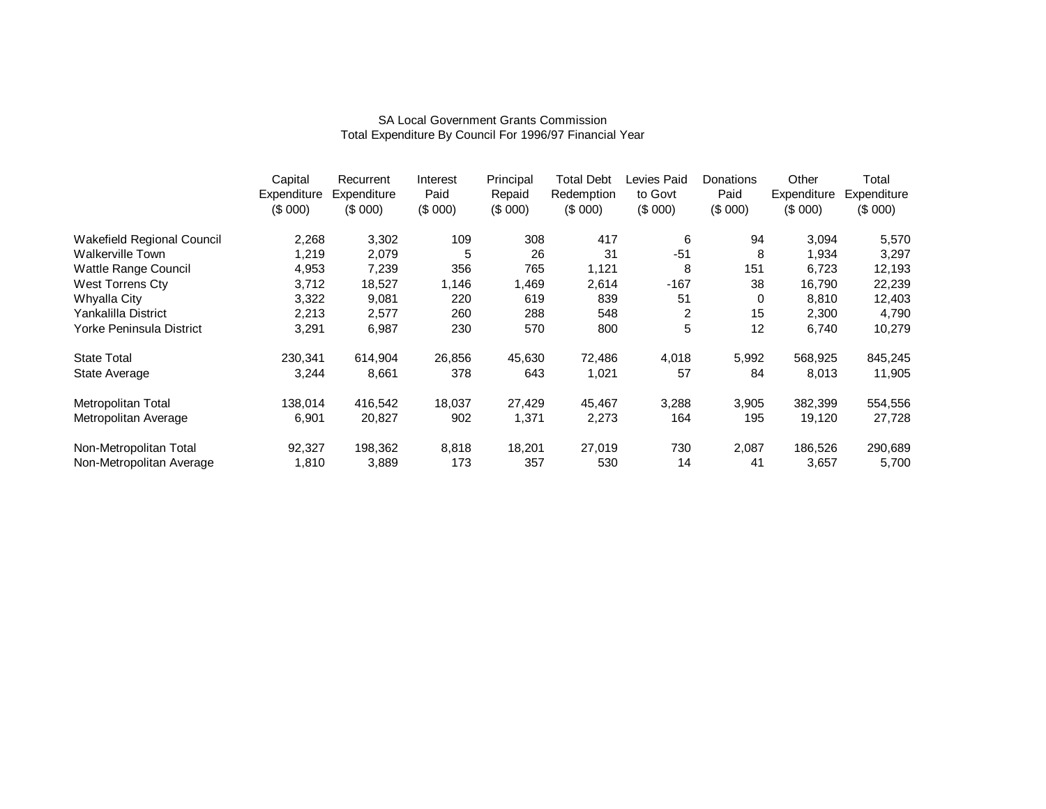# SA Local Government Grants CommissionTotal Expenditure By Council For 1996/97 Financial Year

|                            | Capital<br>Expenditure | Recurrent<br>Expenditure | Interest<br>Paid | Principal<br>Repaid | <b>Total Debt</b><br>Redemption | Levies Paid<br>to Govt | Donations<br>Paid | Other<br>Expenditure | Total<br>Expenditure |
|----------------------------|------------------------|--------------------------|------------------|---------------------|---------------------------------|------------------------|-------------------|----------------------|----------------------|
|                            | (\$000)                | (S 000)                  | (\$000)          | (\$000)             | (\$000)                         | (\$000)                | (\$000)           | (\$000)              | (\$000)              |
| Wakefield Regional Council | 2,268                  | 3,302                    | 109              | 308                 | 417                             | 6                      | 94                | 3,094                | 5,570                |
| <b>Walkerville Town</b>    | 1,219                  | 2,079                    | 5                | 26                  | 31                              | $-51$                  | 8                 | 1,934                | 3,297                |
| Wattle Range Council       | 4,953                  | 7,239                    | 356              | 765                 | 1,121                           | 8                      | 151               | 6.723                | 12,193               |
| West Torrens Cty           | 3,712                  | 18,527                   | 1,146            | 1,469               | 2,614                           | $-167$                 | 38                | 16,790               | 22,239               |
| Whyalla City               | 3,322                  | 9,081                    | 220              | 619                 | 839                             | 51                     | 0                 | 8,810                | 12,403               |
| Yankalilla District        | 2,213                  | 2,577                    | 260              | 288                 | 548                             | 2                      | 15                | 2,300                | 4,790                |
| Yorke Peninsula District   | 3,291                  | 6,987                    | 230              | 570                 | 800                             | 5                      | 12                | 6,740                | 10,279               |
| <b>State Total</b>         | 230.341                | 614,904                  | 26,856           | 45,630              | 72,486                          | 4,018                  | 5,992             | 568,925              | 845,245              |
| <b>State Average</b>       | 3,244                  | 8,661                    | 378              | 643                 | 1,021                           | 57                     | 84                | 8,013                | 11,905               |
| Metropolitan Total         | 138.014                | 416,542                  | 18,037           | 27,429              | 45,467                          | 3,288                  | 3,905             | 382,399              | 554,556              |
| Metropolitan Average       | 6,901                  | 20,827                   | 902              | 1,371               | 2,273                           | 164                    | 195               | 19,120               | 27,728               |
| Non-Metropolitan Total     | 92,327                 | 198,362                  | 8,818            | 18,201              | 27,019                          | 730                    | 2,087             | 186,526              | 290,689              |
| Non-Metropolitan Average   | 1,810                  | 3,889                    | 173              | 357                 | 530                             | 14                     | 41                | 3,657                | 5,700                |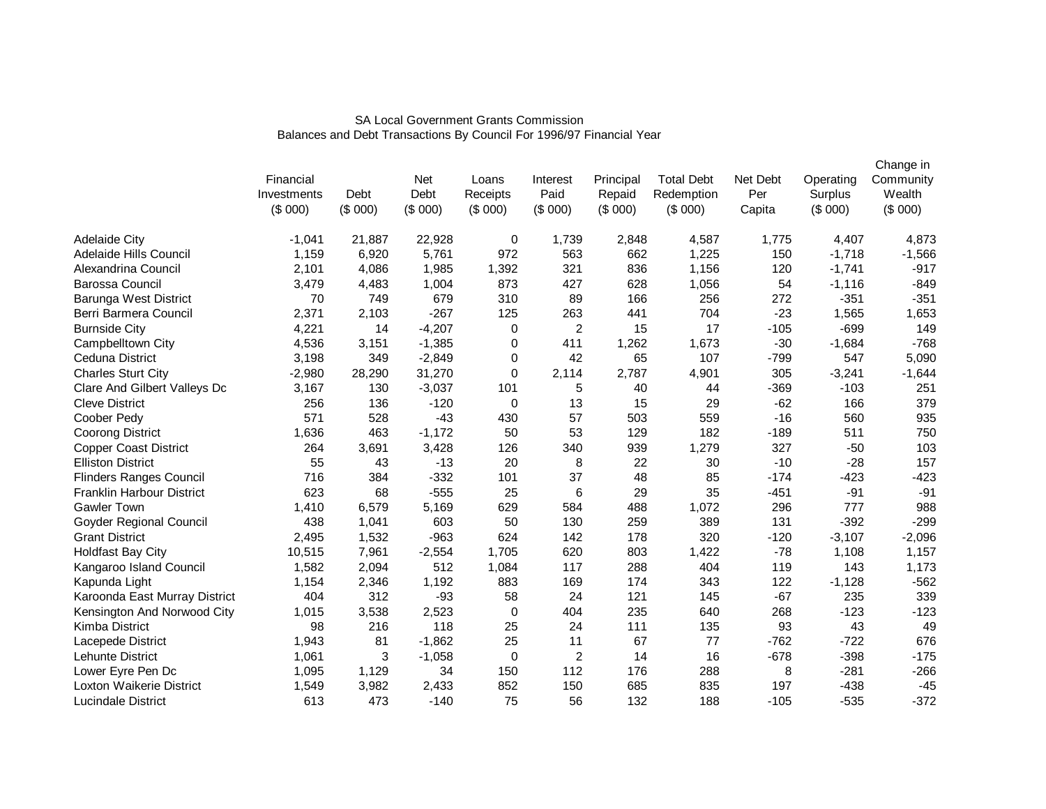# SA Local Government Grants CommissionBalances and Debt Transactions By Council For 1996/97 Financial Year

|                                  |             |         |            |             |                |           |                   |          |           | Change in |
|----------------------------------|-------------|---------|------------|-------------|----------------|-----------|-------------------|----------|-----------|-----------|
|                                  | Financial   |         | <b>Net</b> | Loans       | Interest       | Principal | <b>Total Debt</b> | Net Debt | Operating | Community |
|                                  | Investments | Debt    | Debt       | Receipts    | Paid           | Repaid    | Redemption        | Per      | Surplus   | Wealth    |
|                                  | (\$000)     | (\$000) | (\$000)    | (\$000)     | (\$000)        | (\$000)   | (\$000)           | Capita   | (\$000)   | (\$000)   |
| <b>Adelaide City</b>             | $-1,041$    | 21,887  | 22,928     | 0           | 1,739          | 2,848     | 4,587             | 1,775    | 4,407     | 4,873     |
| Adelaide Hills Council           | 1,159       | 6,920   | 5,761      | 972         | 563            | 662       | 1,225             | 150      | $-1,718$  | $-1,566$  |
| Alexandrina Council              | 2,101       | 4,086   | 1,985      | 1,392       | 321            | 836       | 1,156             | 120      | $-1,741$  | $-917$    |
| <b>Barossa Council</b>           | 3,479       | 4,483   | 1,004      | 873         | 427            | 628       | 1,056             | 54       | $-1,116$  | $-849$    |
| Barunga West District            | 70          | 749     | 679        | 310         | 89             | 166       | 256               | 272      | $-351$    | $-351$    |
| Berri Barmera Council            | 2,371       | 2,103   | $-267$     | 125         | 263            | 441       | 704               | $-23$    | 1,565     | 1,653     |
| <b>Burnside City</b>             | 4,221       | 14      | $-4,207$   | 0           | 2              | 15        | 17                | $-105$   | $-699$    | 149       |
| Campbelltown City                | 4,536       | 3,151   | $-1,385$   | 0           | 411            | 1,262     | 1,673             | $-30$    | $-1,684$  | $-768$    |
| Ceduna District                  | 3,198       | 349     | $-2,849$   | $\mathbf 0$ | 42             | 65        | 107               | $-799$   | 547       | 5,090     |
| <b>Charles Sturt City</b>        | $-2,980$    | 28,290  | 31,270     | $\mathbf 0$ | 2,114          | 2,787     | 4,901             | 305      | $-3,241$  | $-1,644$  |
| Clare And Gilbert Valleys Dc     | 3,167       | 130     | $-3,037$   | 101         | 5              | 40        | 44                | $-369$   | $-103$    | 251       |
| <b>Cleve District</b>            | 256         | 136     | $-120$     | $\mathbf 0$ | 13             | 15        | 29                | $-62$    | 166       | 379       |
| Coober Pedy                      | 571         | 528     | $-43$      | 430         | 57             | 503       | 559               | $-16$    | 560       | 935       |
| <b>Coorong District</b>          | 1,636       | 463     | $-1,172$   | 50          | 53             | 129       | 182               | $-189$   | 511       | 750       |
| <b>Copper Coast District</b>     | 264         | 3,691   | 3,428      | 126         | 340            | 939       | 1,279             | 327      | $-50$     | 103       |
| <b>Elliston District</b>         | 55          | 43      | $-13$      | 20          | 8              | 22        | 30                | $-10$    | $-28$     | 157       |
| <b>Flinders Ranges Council</b>   | 716         | 384     | $-332$     | 101         | 37             | 48        | 85                | $-174$   | $-423$    | $-423$    |
| <b>Franklin Harbour District</b> | 623         | 68      | $-555$     | 25          | 6              | 29        | 35                | $-451$   | $-91$     | $-91$     |
| <b>Gawler Town</b>               | 1,410       | 6,579   | 5,169      | 629         | 584            | 488       | 1,072             | 296      | 777       | 988       |
| Goyder Regional Council          | 438         | 1,041   | 603        | 50          | 130            | 259       | 389               | 131      | $-392$    | $-299$    |
| <b>Grant District</b>            | 2,495       | 1,532   | $-963$     | 624         | 142            | 178       | 320               | $-120$   | $-3,107$  | $-2,096$  |
| <b>Holdfast Bay City</b>         | 10,515      | 7,961   | $-2,554$   | 1,705       | 620            | 803       | 1,422             | $-78$    | 1,108     | 1,157     |
| Kangaroo Island Council          | 1,582       | 2,094   | 512        | 1,084       | 117            | 288       | 404               | 119      | 143       | 1,173     |
| Kapunda Light                    | 1,154       | 2,346   | 1,192      | 883         | 169            | 174       | 343               | 122      | $-1,128$  | $-562$    |
| Karoonda East Murray District    | 404         | 312     | $-93$      | 58          | 24             | 121       | 145               | $-67$    | 235       | 339       |
| Kensington And Norwood City      | 1,015       | 3,538   | 2,523      | 0           | 404            | 235       | 640               | 268      | $-123$    | $-123$    |
| <b>Kimba District</b>            | 98          | 216     | 118        | 25          | 24             | 111       | 135               | 93       | 43        | 49        |
| Lacepede District                | 1,943       | 81      | $-1,862$   | 25          | 11             | 67        | 77                | $-762$   | $-722$    | 676       |
| <b>Lehunte District</b>          | 1,061       | 3       | $-1,058$   | 0           | $\overline{c}$ | 14        | 16                | $-678$   | $-398$    | $-175$    |
| Lower Eyre Pen Dc                | 1,095       | 1,129   | 34         | 150         | 112            | 176       | 288               | 8        | $-281$    | $-266$    |
| Loxton Waikerie District         | 1,549       | 3,982   | 2,433      | 852         | 150            | 685       | 835               | 197      | $-438$    | $-45$     |
| Lucindale District               | 613         | 473     | $-140$     | 75          | 56             | 132       | 188               | $-105$   | $-535$    | $-372$    |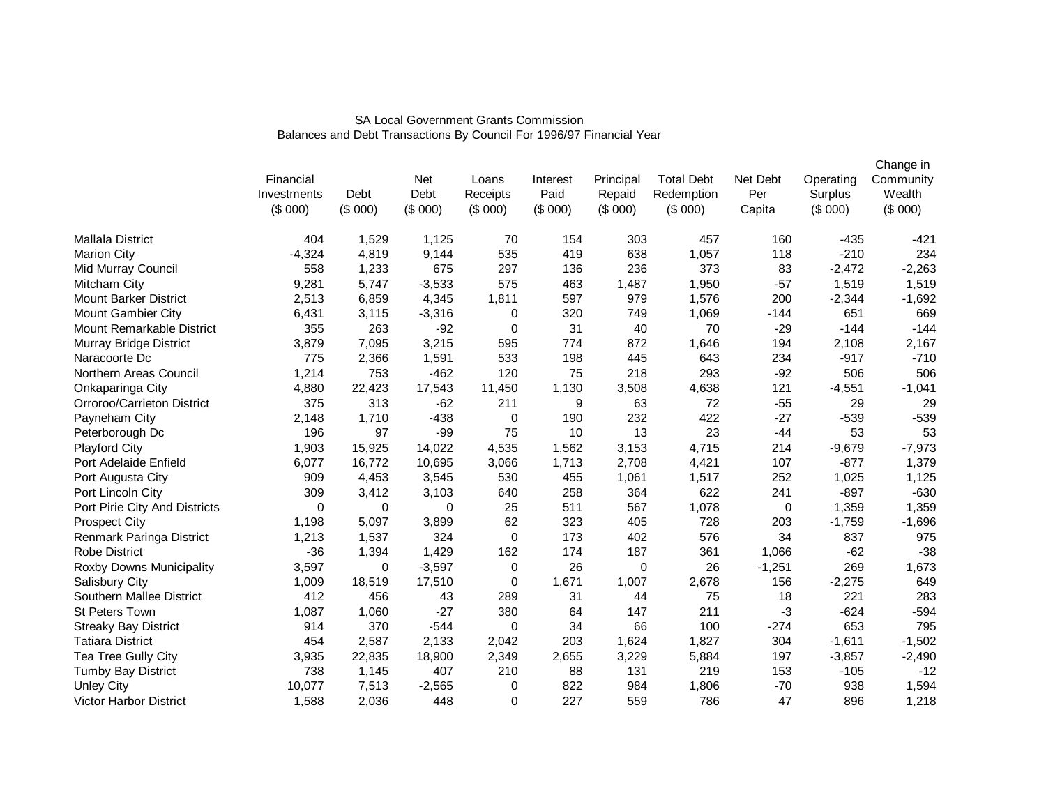# SA Local Government Grants CommissionBalances and Debt Transactions By Council For 1996/97 Financial Year

|                               | Financial<br>Investments<br>(\$000) | Debt<br>(\$000) | Net<br>Debt<br>(\$000) | Loans<br>Receipts<br>(\$000) | Interest<br>Paid<br>(\$000) | Principal<br>Repaid<br>(\$000) | <b>Total Debt</b><br>Redemption<br>(\$000) | Net Debt<br>Per<br>Capita | Operating<br>Surplus<br>(\$000) | Change in<br>Community<br>Wealth<br>(\$000) |
|-------------------------------|-------------------------------------|-----------------|------------------------|------------------------------|-----------------------------|--------------------------------|--------------------------------------------|---------------------------|---------------------------------|---------------------------------------------|
| <b>Mallala District</b>       | 404                                 | 1,529           | 1,125                  | 70                           | 154                         | 303                            | 457                                        | 160                       | $-435$                          | $-421$                                      |
| <b>Marion City</b>            | $-4,324$                            | 4,819           | 9,144                  | 535                          | 419                         | 638                            | 1,057                                      | 118                       | $-210$                          | 234                                         |
| Mid Murray Council            | 558                                 | 1,233           | 675                    | 297                          | 136                         | 236                            | 373                                        | 83                        | $-2,472$                        | $-2,263$                                    |
| Mitcham City                  | 9,281                               | 5,747           | $-3,533$               | 575                          | 463                         | 1,487                          | 1,950                                      | $-57$                     | 1,519                           | 1,519                                       |
| <b>Mount Barker District</b>  | 2,513                               | 6,859           | 4,345                  | 1,811                        | 597                         | 979                            | 1,576                                      | 200                       | $-2,344$                        | $-1,692$                                    |
| Mount Gambier City            | 6,431                               | 3,115           | $-3,316$               | 0                            | 320                         | 749                            | 1,069                                      | $-144$                    | 651                             | 669                                         |
| Mount Remarkable District     | 355                                 | 263             | $-92$                  | 0                            | 31                          | 40                             | 70                                         | $-29$                     | $-144$                          | $-144$                                      |
| Murray Bridge District        | 3,879                               | 7,095           | 3,215                  | 595                          | 774                         | 872                            | 1,646                                      | 194                       | 2,108                           | 2,167                                       |
| Naracoorte Dc                 | 775                                 | 2,366           | 1,591                  | 533                          | 198                         | 445                            | 643                                        | 234                       | $-917$                          | $-710$                                      |
| Northern Areas Council        | 1,214                               | 753             | $-462$                 | 120                          | 75                          | 218                            | 293                                        | $-92$                     | 506                             | 506                                         |
| Onkaparinga City              | 4,880                               | 22,423          | 17,543                 | 11,450                       | 1,130                       | 3,508                          | 4,638                                      | 121                       | $-4,551$                        | $-1,041$                                    |
| Orroroo/Carrieton District    | 375                                 | 313             | $-62$                  | 211                          | 9                           | 63                             | 72                                         | $-55$                     | 29                              | 29                                          |
| Payneham City                 | 2,148                               | 1,710           | $-438$                 | 0                            | 190                         | 232                            | 422                                        | $-27$                     | $-539$                          | $-539$                                      |
| Peterborough Dc               | 196                                 | 97              | -99                    | 75                           | 10                          | 13                             | 23                                         | $-44$                     | 53                              | 53                                          |
| Playford City                 | 1,903                               | 15,925          | 14,022                 | 4,535                        | 1,562                       | 3,153                          | 4,715                                      | 214                       | $-9,679$                        | $-7,973$                                    |
| Port Adelaide Enfield         | 6,077                               | 16,772          | 10,695                 | 3,066                        | 1,713                       | 2,708                          | 4,421                                      | 107                       | $-877$                          | 1,379                                       |
| Port Augusta City             | 909                                 | 4,453           | 3,545                  | 530                          | 455                         | 1,061                          | 1,517                                      | 252                       | 1,025                           | 1,125                                       |
| Port Lincoln City             | 309                                 | 3,412           | 3,103                  | 640                          | 258                         | 364                            | 622                                        | 241                       | $-897$                          | $-630$                                      |
| Port Pirie City And Districts | 0                                   | 0               | $\mathbf 0$            | 25                           | 511                         | 567                            | 1,078                                      | $\mathbf 0$               | 1,359                           | 1,359                                       |
| <b>Prospect City</b>          | 1,198                               | 5,097           | 3,899                  | 62                           | 323                         | 405                            | 728                                        | 203                       | $-1,759$                        | $-1,696$                                    |
| Renmark Paringa District      | 1,213                               | 1,537           | 324                    | 0                            | 173                         | 402                            | 576                                        | 34                        | 837                             | 975                                         |
| <b>Robe District</b>          | $-36$                               | 1,394           | 1,429                  | 162                          | 174                         | 187                            | 361                                        | 1,066                     | $-62$                           | $-38$                                       |
| Roxby Downs Municipality      | 3,597                               | 0               | $-3,597$               | 0                            | 26                          | 0                              | 26                                         | $-1,251$                  | 269                             | 1,673                                       |
| Salisbury City                | 1,009                               | 18,519          | 17,510                 | 0                            | 1,671                       | 1,007                          | 2,678                                      | 156                       | $-2,275$                        | 649                                         |
| Southern Mallee District      | 412                                 | 456             | 43                     | 289                          | 31                          | 44                             | 75                                         | 18                        | 221                             | 283                                         |
| St Peters Town                | 1,087                               | 1,060           | $-27$                  | 380                          | 64                          | 147                            | 211                                        | $-3$                      | $-624$                          | $-594$                                      |
| <b>Streaky Bay District</b>   | 914                                 | 370             | $-544$                 | 0                            | 34                          | 66                             | 100                                        | $-274$                    | 653                             | 795                                         |
| <b>Tatiara District</b>       | 454                                 | 2,587           | 2,133                  | 2,042                        | 203                         | 1,624                          | 1,827                                      | 304                       | $-1,611$                        | $-1,502$                                    |
| Tea Tree Gully City           | 3,935                               | 22,835          | 18,900                 | 2,349                        | 2,655                       | 3,229                          | 5,884                                      | 197                       | $-3,857$                        | $-2,490$                                    |
| <b>Tumby Bay District</b>     | 738                                 | 1,145           | 407                    | 210                          | 88                          | 131                            | 219                                        | 153                       | $-105$                          | $-12$                                       |
| <b>Unley City</b>             | 10,077                              | 7,513           | $-2,565$               | 0                            | 822                         | 984                            | 1,806                                      | $-70$                     | 938                             | 1,594                                       |
| Victor Harbor District        | 1,588                               | 2,036           | 448                    | $\Omega$                     | 227                         | 559                            | 786                                        | 47                        | 896                             | 1,218                                       |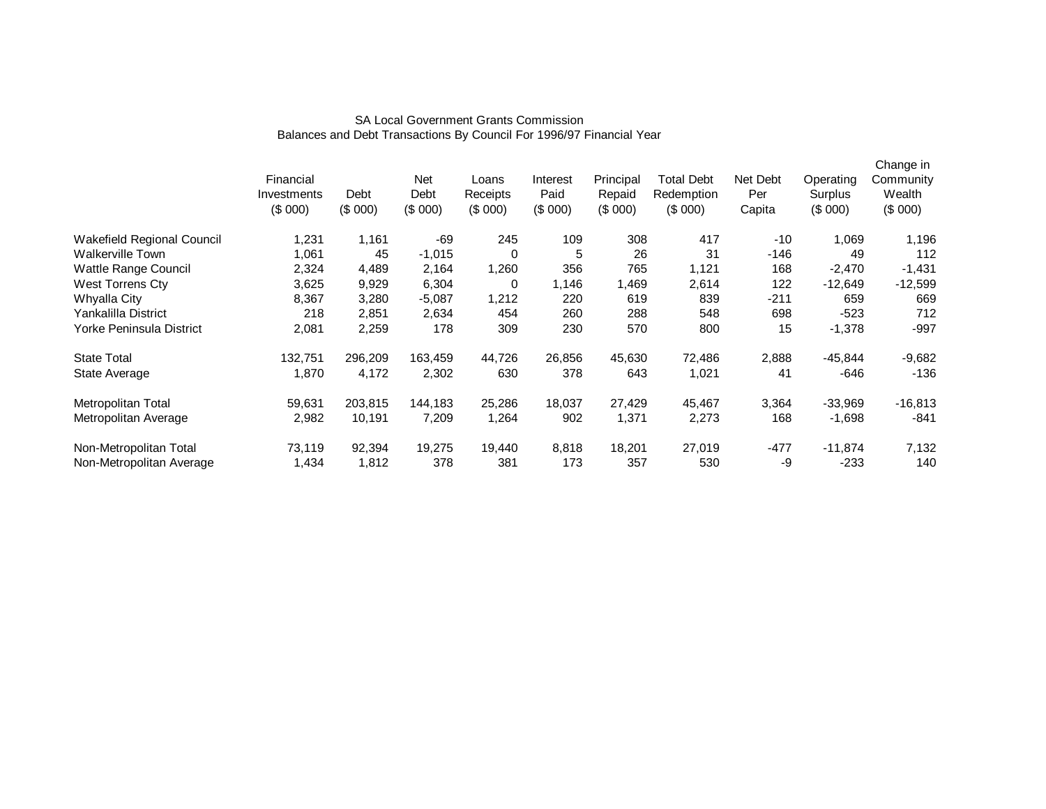# SA Local Government Grants CommissionBalances and Debt Transactions By Council For 1996/97 Financial Year

|                            | Financial<br>Investments<br>(\$000) | Debt<br>(\$000) | Net<br>Debt<br>(\$000) | Loans<br>Receipts<br>(\$000) | Interest<br>Paid<br>(\$000) | Principal<br>Repaid<br>(\$000) | <b>Total Debt</b><br>Redemption<br>(\$000) | Net Debt<br>Per<br>Capita | Operating<br>Surplus<br>(\$000) | Change in<br>Community<br>Wealth<br>(\$000) |
|----------------------------|-------------------------------------|-----------------|------------------------|------------------------------|-----------------------------|--------------------------------|--------------------------------------------|---------------------------|---------------------------------|---------------------------------------------|
| Wakefield Regional Council | 1,231                               | 1,161           | $-69$                  | 245                          | 109                         | 308                            | 417                                        | $-10$                     | 1,069                           | 1,196                                       |
| <b>Walkerville Town</b>    | 1,061                               | 45              | $-1,015$               | 0                            | 5                           | 26                             | 31                                         | -146                      | 49                              | 112                                         |
| Wattle Range Council       | 2,324                               | 4,489           | 2,164                  | 1,260                        | 356                         | 765                            | 1,121                                      | 168                       | $-2,470$                        | $-1,431$                                    |
| West Torrens Cty           | 3,625                               | 9,929           | 6,304                  | 0                            | 1.146                       | 469. ا                         | 2,614                                      | 122                       | $-12,649$                       | $-12,599$                                   |
| Whyalla City               | 8,367                               | 3,280           | $-5,087$               | 1,212                        | 220                         | 619                            | 839                                        | $-211$                    | 659                             | 669                                         |
| Yankalilla District        | 218                                 | 2,851           | 2,634                  | 454                          | 260                         | 288                            | 548                                        | 698                       | $-523$                          | 712                                         |
| Yorke Peninsula District   | 2,081                               | 2,259           | 178                    | 309                          | 230                         | 570                            | 800                                        | 15                        | $-1,378$                        | $-997$                                      |
| <b>State Total</b>         | 132.751                             | 296,209         | 163,459                | 44,726                       | 26,856                      | 45,630                         | 72,486                                     | 2,888                     | $-45,844$                       | $-9,682$                                    |
| State Average              | 1,870                               | 4,172           | 2,302                  | 630                          | 378                         | 643                            | 1,021                                      | 41                        | $-646$                          | $-136$                                      |
| Metropolitan Total         | 59,631                              | 203,815         | 144,183                | 25,286                       | 18,037                      | 27,429                         | 45,467                                     | 3,364                     | $-33,969$                       | $-16,813$                                   |
| Metropolitan Average       | 2,982                               | 10,191          | 7,209                  | 1,264                        | 902                         | 1,371                          | 2,273                                      | 168                       | $-1,698$                        | $-841$                                      |
| Non-Metropolitan Total     | 73,119                              | 92,394          | 19,275                 | 19,440                       | 8,818                       | 18,201                         | 27,019                                     | $-477$                    | $-11,874$                       | 7,132                                       |
| Non-Metropolitan Average   | 1,434                               | 1,812           | 378                    | 381                          | 173                         | 357                            | 530                                        | -9                        | $-233$                          | 140                                         |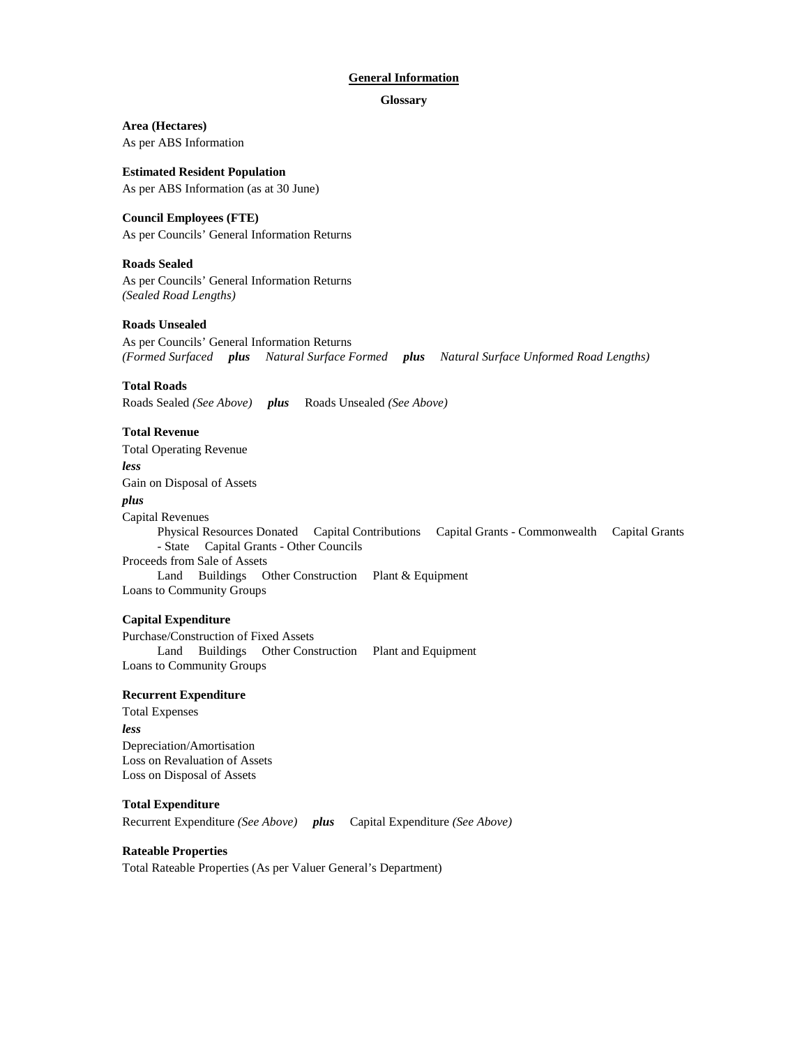### **General Information**

## **Glossary**

**Area (Hectares)**  As per ABS Information

**Estimated Resident Population**  As per ABS Information (as at 30 June)

**Council Employees (FTE)**  As per Councils' General Information Returns

**Roads Sealed**  As per Councils' General Information Returns *(Sealed Road Lengths)* 

## **Roads Unsealed**

As per Councils' General Information Returns *(Formed Surfaced plus Natural Surface Formed plus Natural Surface Unformed Road Lengths)* 

### **Total Roads**

Roads Sealed *(See Above) plus* Roads Unsealed *(See Above)* 

### **Total Revenue**

Total Operating Revenue *less*  Gain on Disposal of Assets *plus* Capital Revenues Physical Resources Donated Capital Contributions Capital Grants - Commonwealth Capital Grants - State Capital Grants - Other Councils Proceeds from Sale of Assets Land Buildings Other Construction Plant & Equipment Loans to Community Groups

#### **Capital Expenditure**

Purchase/Construction of Fixed Assets Land Buildings Other Construction Plant and Equipment Loans to Community Groups

### **Recurrent Expenditure**

Total Expenses *less* Depreciation/Amortisation Loss on Revaluation of Assets Loss on Disposal of Assets

#### **Total Expenditure**

Recurrent Expenditure *(See Above) plus*Capital Expenditure *(See Above)* 

## **Rateable Properties**

Total Rateable Properties (As per Valuer General's Department)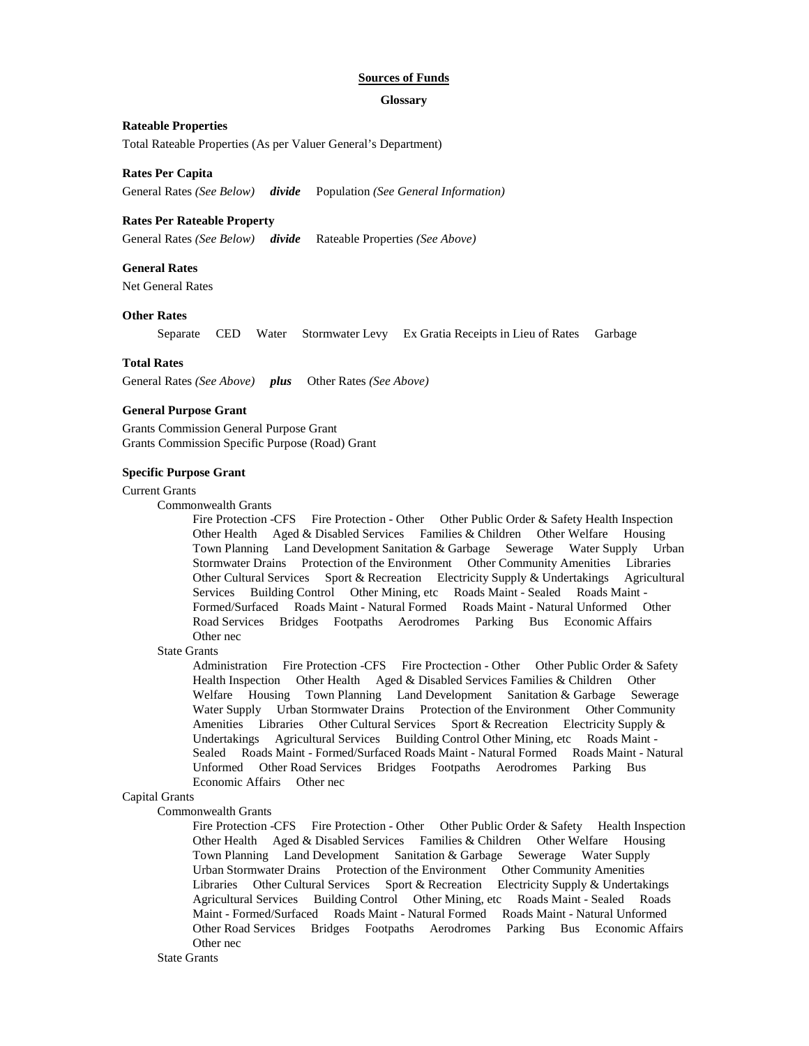### **Sources of Funds**

#### **Glossary**

### **Rateable Properties**

Total Rateable Properties (As per Valuer General's Department)

## **Rates Per Capita**

General Rates *(See Below) divide* Population *(See General Information)* 

### **Rates Per Rateable Property**

General Rates *(See Below) divide* Rateable Properties *(See Above)* 

### **General Rates**

Net General Rates

#### **Other Rates**

Separate CED Water Stormwater Levy Ex Gratia Receipts in Lieu of RatesGarbage

#### **Total Rates**

General Rates *(See Above) plus* Other Rates *(See Above)* 

#### **General Purpose Grant**

Grants Commission General Purpose Grant Grants Commission Specific Purpose (Road) Grant

#### **Specific Purpose Grant**

#### Current Grants

Commonwealth Grants

Fire Protection -CFS Fire Protection - Other Other Public Order & Safety Health Inspection Other Health Aged & Disabled Services Families & Children Other Welfare Housing Town Planning Land Development Sanitation & Garbage Sewerage Water Supply Urban Stormwater Drains Protection of the Environment Other Community Amenities Libraries Other Cultural Services Sport & Recreation Electricity Supply & Undertakings Agricultural Services Building Control Other Mining, etc Roads Maint - Sealed Roads Maint - Formed/Surfaced Roads Maint - Natural Formed Roads Maint - Natural Unformed Other Road Services Bridges Footpaths Aerodromes Parking Bus Economic Affairs Other nec

#### State Grants

Administration Fire Protection -CFS Fire Proctection - Other Other Public Order & Safety Health Inspection Other Health Aged & Disabled Services Families & Children Other Welfare Housing Town Planning Land Development Sanitation & Garbage Sewerage Water Supply Urban Stormwater Drains Protection of the Environment Other Community Amenities Libraries Other Cultural Services Sport & Recreation Electricity Supply & Undertakings Agricultural Services Building Control Other Mining, etc Roads Maint -Sealed Roads Maint - Formed/Surfaced Roads Maint - Natural Formed Roads Maint - Natural Unformed Other Road Services Bridges Footpaths Aerodromes Parking Bus Economic Affairs Other nec

#### Capital Grants

#### Commonwealth Grants

Fire Protection -CFS Fire Protection - Other Other Public Order & Safety Health Inspection Other Health Aged & Disabled Services Families & Children Other Welfare Housing Town Planning Land Development Sanitation & Garbage Sewerage Water Supply Urban Stormwater Drains Protection of the Environment Other Community Amenities Libraries Other Cultural Services Sport & Recreation Electricity Supply & Undertakings Agricultural Services Building Control Other Mining, etc Roads Maint - Sealed Roads Maint - Formed/Surfaced Roads Maint - Natural Formed Roads Maint - Natural Unformed Other Road Services Bridges Footpaths Aerodromes Parking Bus Economic Affairs Other nec

State Grants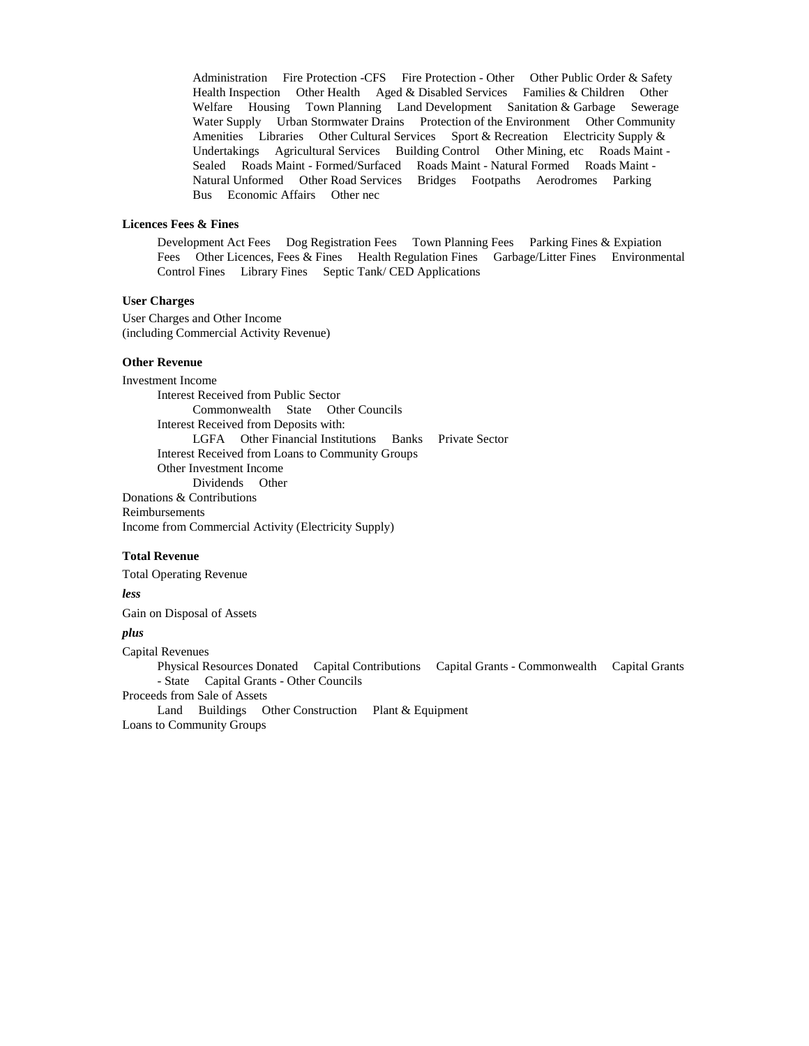Administration Fire Protection -CFS Fire Protection - Other Other Public Order & Safety Health Inspection Other Health Aged & Disabled Services Families & Children Other Welfare Housing Town Planning Land Development Sanitation & Garbage Sewerage Water Supply Urban Stormwater Drains Protection of the Environment Other Community Amenities Libraries Other Cultural Services Sport & Recreation Electricity Supply & Undertakings Agricultural Services Building Control Other Mining, etc Roads Maint -Sealed Roads Maint - Formed/Surfaced Roads Maint - Natural Formed Roads Maint - Natural Unformed Other Road Services Bridges Footpaths Aerodromes Parking Bus Economic Affairs Other nec

### **Licences Fees & Fines**

Development Act Fees Dog Registration Fees Town Planning Fees Parking Fines & Expiation Fees Other Licences, Fees & Fines Health Regulation Fines Garbage/Litter Fines Environmental Control Fines Library Fines Septic Tank/ CED Applications

### **User Charges**

User Charges and Other Income (including Commercial Activity Revenue)

#### **Other Revenue**

Investment Income Interest Received from Public Sector Commonwealth State Other Councils Interest Received from Deposits with: LGFA Other Financial Institutions Banks Private Sector Interest Received from Loans to Community Groups Other Investment Income Dividends Other Donations & Contributions Reimbursements

Income from Commercial Activity (Electricity Supply)

### **Total Revenue**

Total Operating Revenue

*less*

Gain on Disposal of Assets

# *plus*

Capital Revenues Physical Resources Donated Capital Contributions Capital Grants - Commonwealth Capital Grants - State Capital Grants - Other Councils Proceeds from Sale of Assets Land Buildings Other Construction Plant & Equipment Loans to Community Groups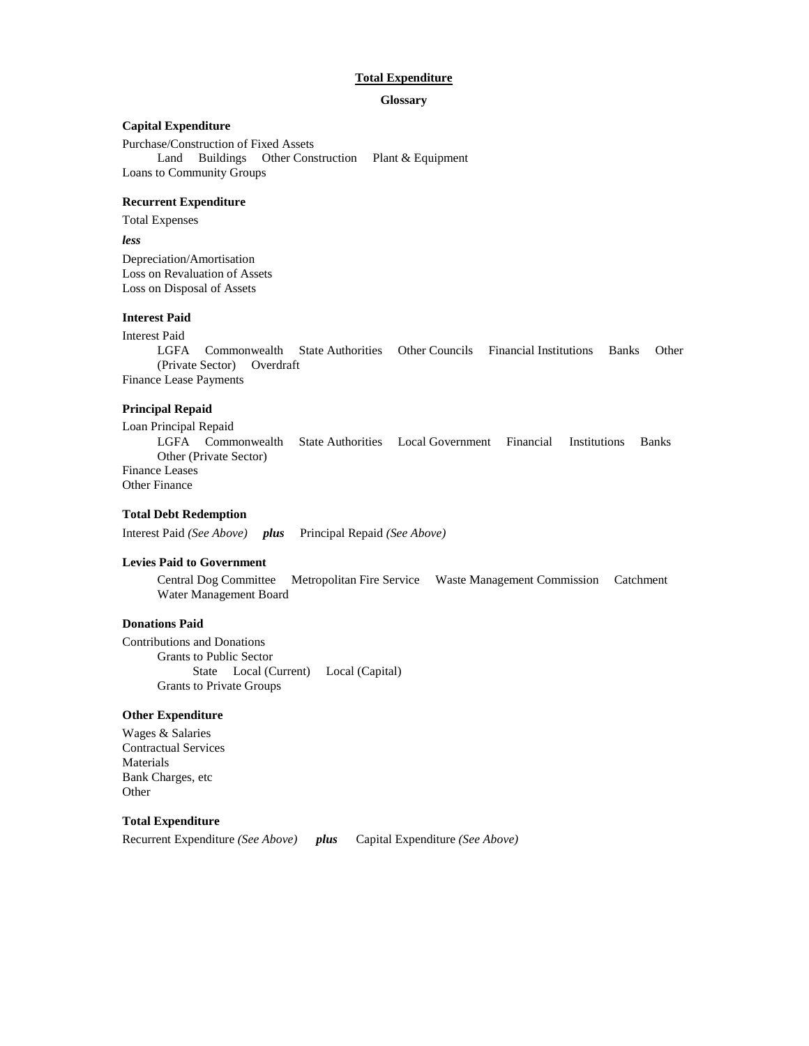#### **Total Expenditure**

#### **Glossary**

### **Capital Expenditure**

Purchase/Construction of Fixed Assets Land Buildings Other Construction Plant & Equipment Loans to Community Groups

#### **Recurrent Expenditure**

Total Expenses

### *less*

Depreciation/Amortisation Loss on Revaluation of Assets Loss on Disposal of Assets

### **Interest Paid**

## Interest Paid

LGFA Commonwealth State Authorities Other Councils Financial Institutions Banks Other (Private Sector) Overdraft

Finance Lease Payments

## **Principal Repaid**

Loan Principal Repaid LGFA Commonwealth State Authorities Local Government Financial Institutions Banks Other (Private Sector) Finance Leases Other Finance

### **Total Debt Redemption**

Interest Paid *(See Above) plus* Principal Repaid *(See Above)* 

## **Levies Paid to Government**

Central Dog Committee Metropolitan Fire Service Waste Management Commission Catchment Water Management Board

### **Donations Paid**

Contributions and Donations Grants to Public Sector State Local (Current) Local (Capital) Grants to Private Groups

#### **Other Expenditure**

Wages & Salaries Contractual Services Materials Bank Charges, etc Other

**Total Expenditure** 

Recurrent Expenditure *(See Above) plus* Capital Expenditure *(See Above)*